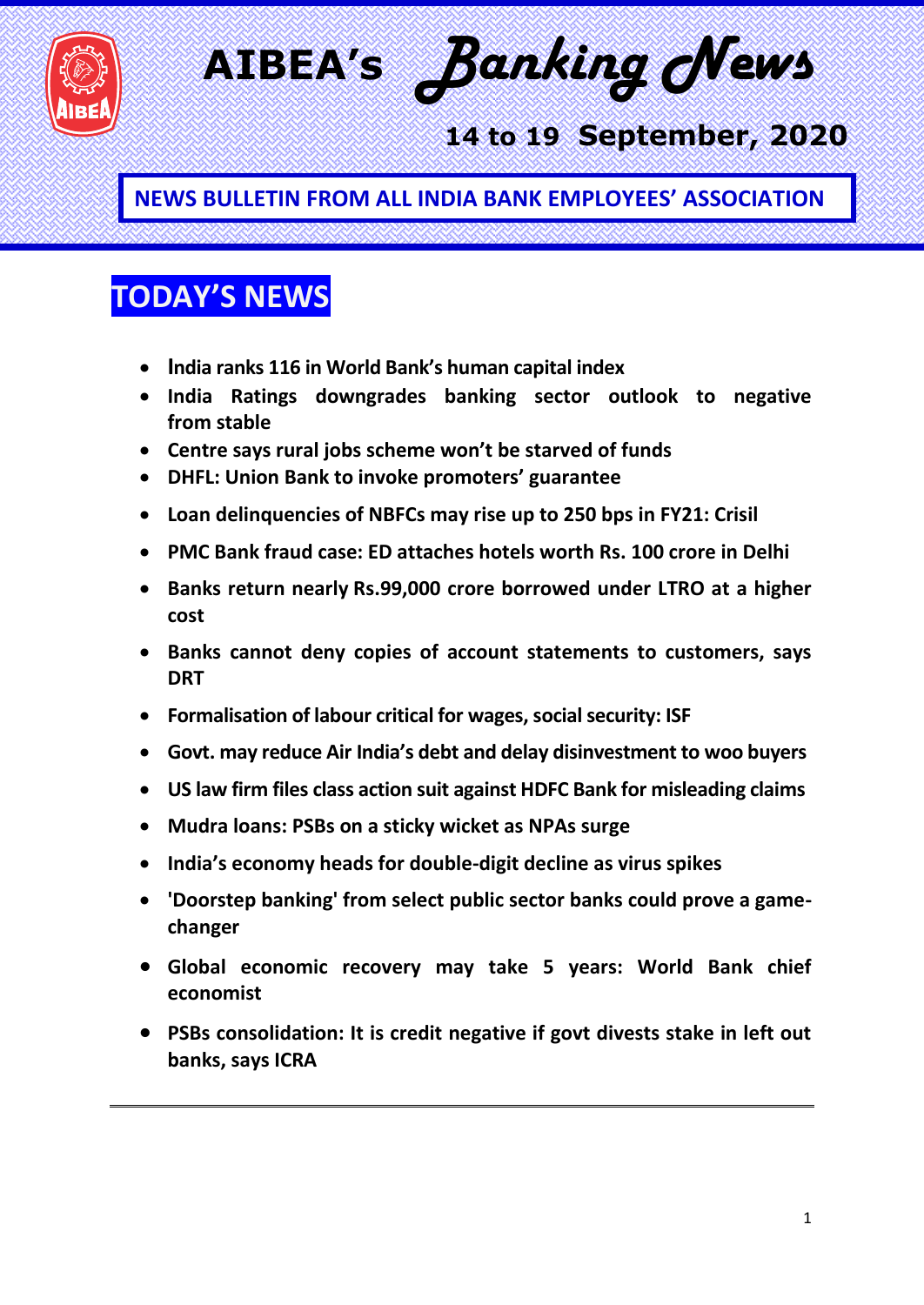

**AIBEA's** *Banking News* 

### **14 to 19 September, 2020**

**NEWS BULLETIN FROM ALL INDIA BANK EMPLOYEES' ASSOCIATION**

### **TODAY'S NEWS**

- **India ranks 116 in World Bank's human capital index**
- **India Ratings downgrades banking sector outlook to negative from stable**
- **Centre says rural jobs scheme won't be starved of funds**
- **DHFL: Union Bank to invoke promoters' guarantee**
- **Loan delinquencies of NBFCs may rise up to 250 bps in FY21: Crisil**
- **PMC Bank fraud case: ED attaches hotels worth Rs. 100 crore in Delhi**
- **Banks return nearly Rs.99,000 crore borrowed under LTRO at a higher cost**
- **Banks cannot deny copies of account statements to customers, says DRT**
- **Formalisation of labour critical for wages, social security: ISF**
- **Govt. may reduce Air India's debt and delay disinvestment to woo buyers**
- **US law firm files class action suit against HDFC Bank for misleading claims**
- **Mudra loans: PSBs on a sticky wicket as NPAs surge**
- **India's economy heads for double-digit decline as virus spikes**
- **'Doorstep banking' from select public sector banks could prove a gamechanger**
- **Global economic recovery may take 5 years: World Bank chief economist**
- **PSBs consolidation: It is credit negative if govt divests stake in left out banks, says ICRA**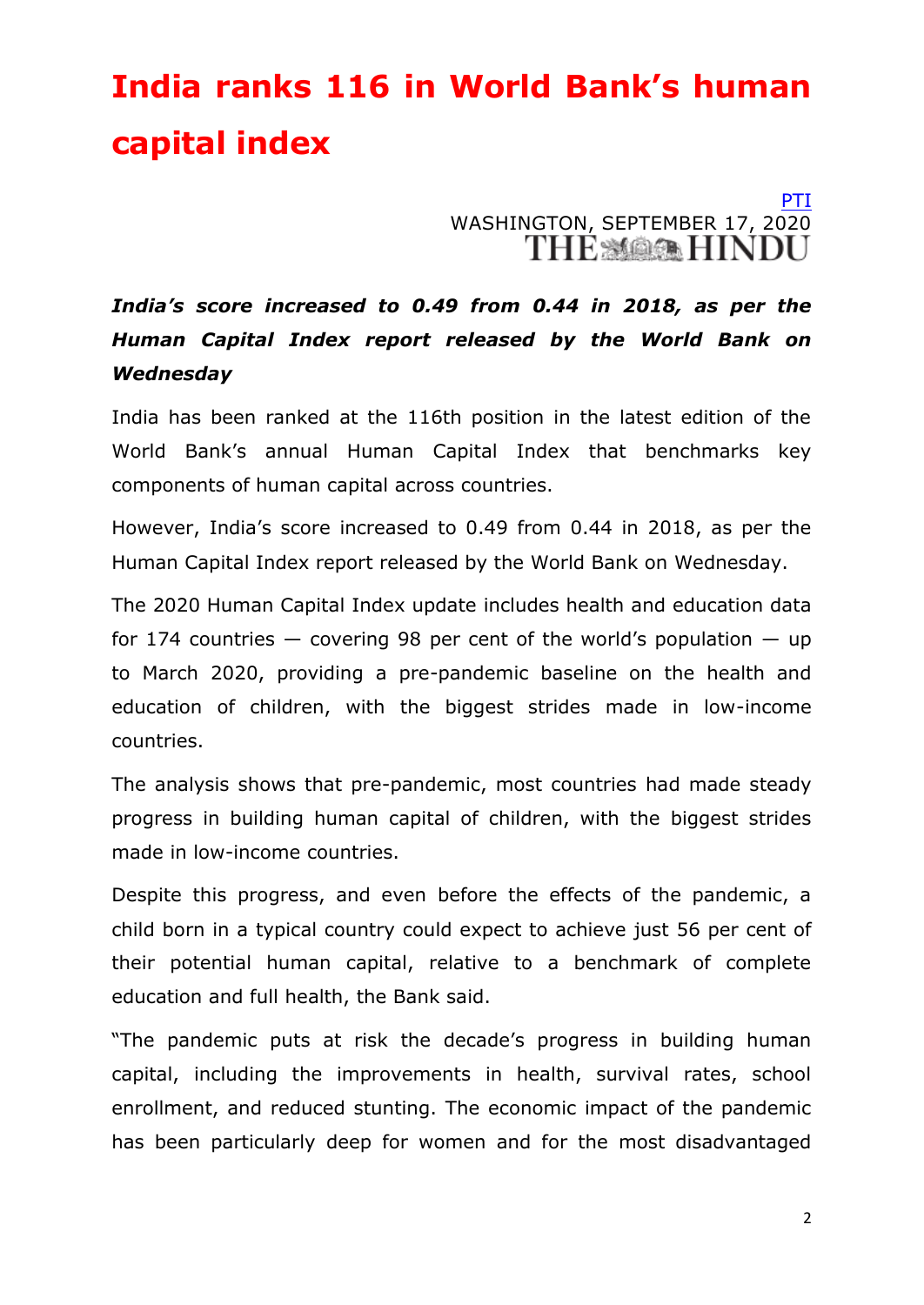## **India ranks 116 in World Bank's human capital index**

### [PTI](https://www.thehindu.com/business/Economy/india-ranks-116-in-world-banks-human-capital-index/article32627733.ece) WASHINGTON, SEPTEMBER 17, 2020

#### *India's score increased to 0.49 from 0.44 in 2018, as per the Human Capital Index report released by the World Bank on Wednesday*

India has been ranked at the 116th position in the latest edition of the World Bank's annual Human Capital Index that benchmarks key components of human capital across countries.

However, India's score increased to 0.49 from 0.44 in 2018, as per the Human Capital Index report released by the World Bank on Wednesday.

The 2020 Human Capital Index update includes health and education data for 174 countries  $-$  covering 98 per cent of the world's population  $-$  up to March 2020, providing a pre-pandemic baseline on the health and education of children, with the biggest strides made in low-income countries.

The analysis shows that pre-pandemic, most countries had made steady progress in building human capital of children, with the biggest strides made in low-income countries.

Despite this progress, and even before the effects of the pandemic, a child born in a typical country could expect to achieve just 56 per cent of their potential human capital, relative to a benchmark of complete education and full health, the Bank said.

"The pandemic puts at risk the decade's progress in building human capital, including the improvements in health, survival rates, school enrollment, and reduced stunting. The economic impact of the pandemic has been particularly deep for women and for the most disadvantaged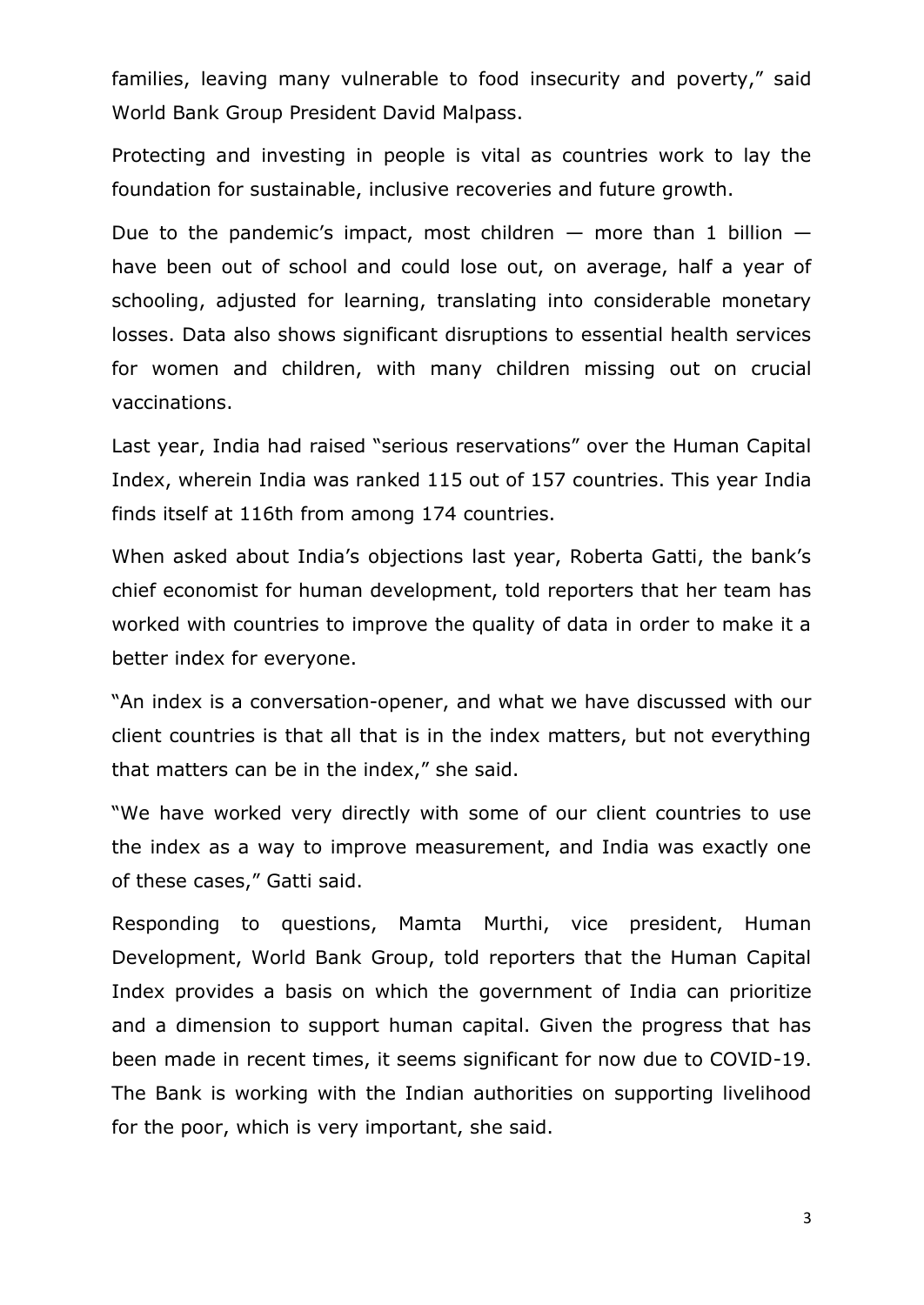families, leaving many vulnerable to food insecurity and poverty," said World Bank Group President David Malpass.

Protecting and investing in people is vital as countries work to lay the foundation for sustainable, inclusive recoveries and future growth.

Due to the pandemic's impact, most children  $-$  more than 1 billion  $$ have been out of school and could lose out, on average, half a year of schooling, adjusted for learning, translating into considerable monetary losses. Data also shows significant disruptions to essential health services for women and children, with many children missing out on crucial vaccinations.

Last year, India had raised "serious reservations" over the Human Capital Index, wherein India was ranked 115 out of 157 countries. This year India finds itself at 116th from among 174 countries.

When asked about India's objections last year, Roberta Gatti, the bank's chief economist for human development, told reporters that her team has worked with countries to improve the quality of data in order to make it a better index for everyone.

"An index is a conversation-opener, and what we have discussed with our client countries is that all that is in the index matters, but not everything that matters can be in the index," she said.

"We have worked very directly with some of our client countries to use the index as a way to improve measurement, and India was exactly one of these cases," Gatti said.

Responding to questions, Mamta Murthi, vice president, Human Development, World Bank Group, told reporters that the Human Capital Index provides a basis on which the government of India can prioritize and a dimension to support human capital. Given the progress that has been made in recent times, it seems significant for now due to COVID-19. The Bank is working with the Indian authorities on supporting livelihood for the poor, which is very important, she said.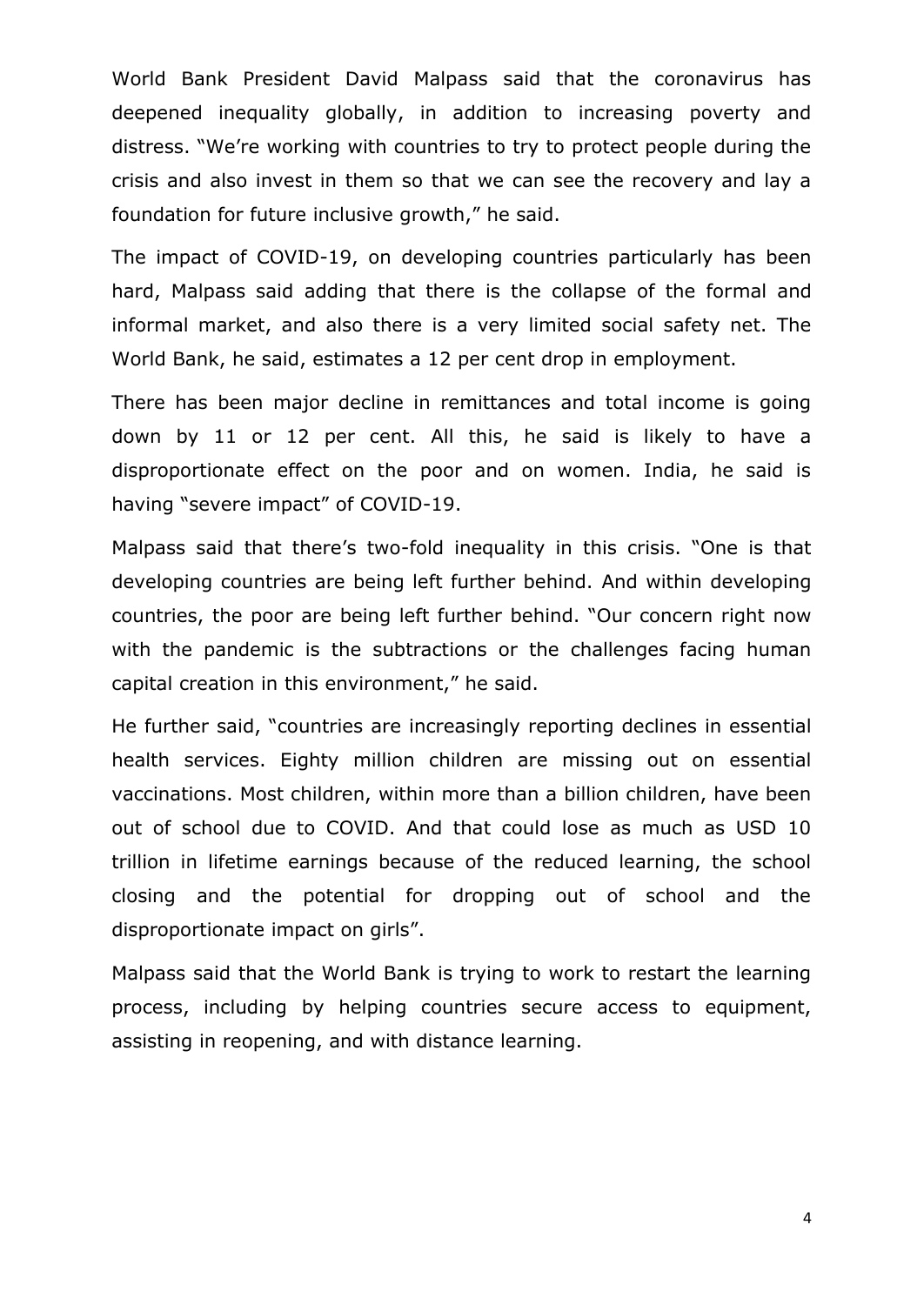World Bank President David Malpass said that the coronavirus has deepened inequality globally, in addition to increasing poverty and distress. ―We're working with countries to try to protect people during the crisis and also invest in them so that we can see the recovery and lay a foundation for future inclusive growth," he said.

The impact of COVID-19, on developing countries particularly has been hard, Malpass said adding that there is the collapse of the formal and informal market, and also there is a very limited social safety net. The World Bank, he said, estimates a 12 per cent drop in employment.

There has been major decline in remittances and total income is going down by 11 or 12 per cent. All this, he said is likely to have a disproportionate effect on the poor and on women. India, he said is having "severe impact" of COVID-19.

Malpass said that there's two-fold inequality in this crisis. "One is that developing countries are being left further behind. And within developing countries, the poor are being left further behind. "Our concern right now with the pandemic is the subtractions or the challenges facing human capital creation in this environment," he said.

He further said, "countries are increasingly reporting declines in essential health services. Eighty million children are missing out on essential vaccinations. Most children, within more than a billion children, have been out of school due to COVID. And that could lose as much as USD 10 trillion in lifetime earnings because of the reduced learning, the school closing and the potential for dropping out of school and the disproportionate impact on girls".

Malpass said that the World Bank is trying to work to restart the learning process, including by helping countries secure access to equipment, assisting in reopening, and with distance learning.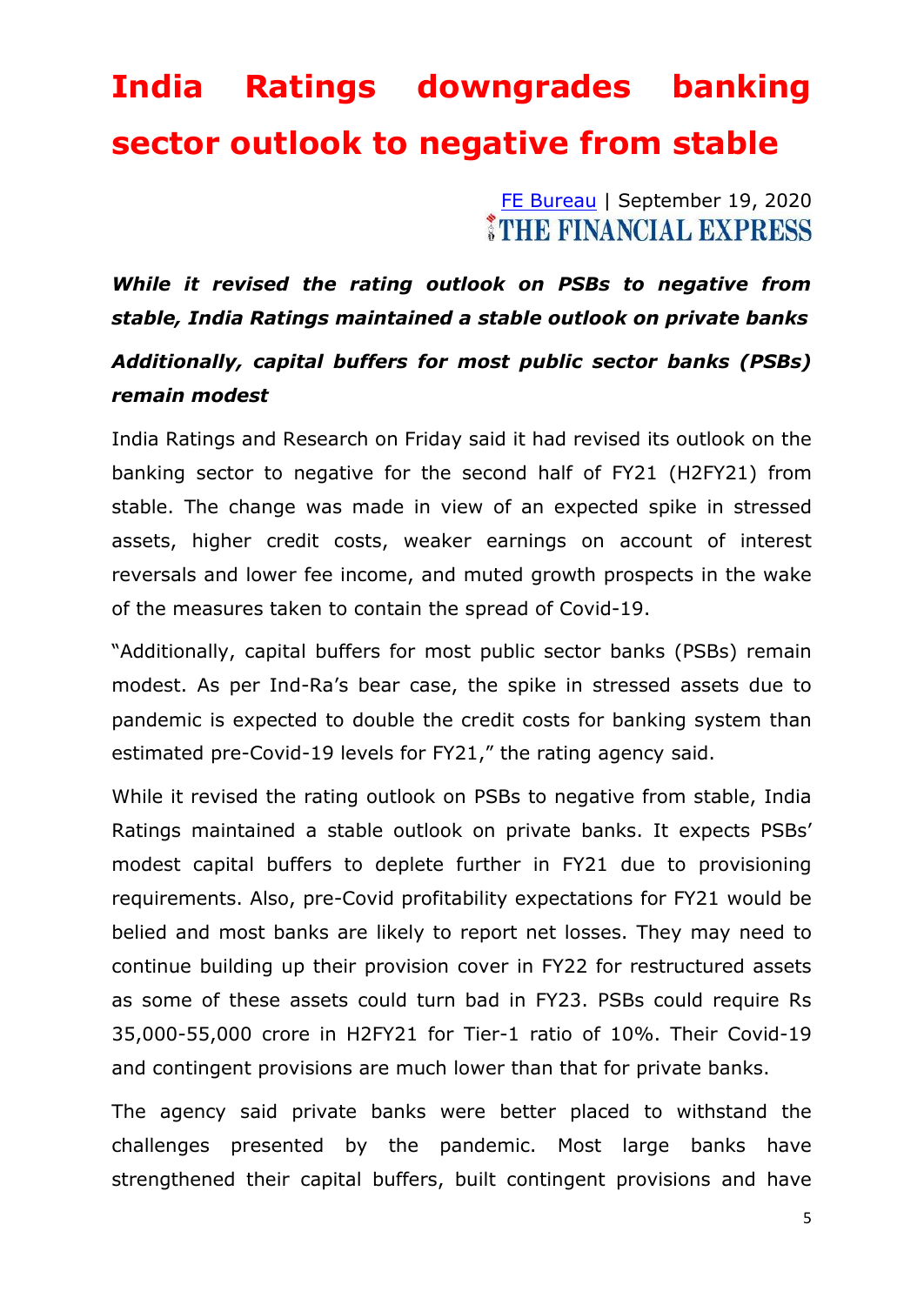## **India Ratings downgrades banking sector outlook to negative from stable**

[FE Bureau](https://www.financialexpress.com/author/fe-bureau/) | September 19, 2020 THE FINANCIAL EXPRESS

*While it revised the rating outlook on PSBs to negative from stable, India Ratings maintained a stable outlook on private banks Additionally, capital buffers for most public sector banks (PSBs) remain modest*

India Ratings and Research on Friday said it had revised its outlook on the banking sector to negative for the second half of FY21 (H2FY21) from stable. The change was made in view of an expected spike in stressed assets, higher credit costs, weaker earnings on account of interest reversals and lower fee income, and muted growth prospects in the wake of the measures taken to contain the spread of Covid-19.

"Additionally, capital buffers for most public sector banks (PSBs) remain modest. As per Ind-Ra's bear case, the spike in stressed assets due to pandemic is expected to double the credit costs for banking system than estimated pre-Covid-19 levels for FY21," the rating agency said.

While it revised the rating outlook on PSBs to negative from stable, India Ratings maintained a stable outlook on private banks. It expects PSBs' modest capital buffers to deplete further in FY21 due to provisioning requirements. Also, pre-Covid profitability expectations for FY21 would be belied and most banks are likely to report net losses. They may need to continue building up their provision cover in FY22 for restructured assets as some of these assets could turn bad in FY23. PSBs could require Rs 35,000-55,000 crore in H2FY21 for Tier-1 ratio of 10%. Their Covid-19 and contingent provisions are much lower than that for private banks.

The agency said private banks were better placed to withstand the challenges presented by the pandemic. Most large banks have strengthened their capital buffers, built contingent provisions and have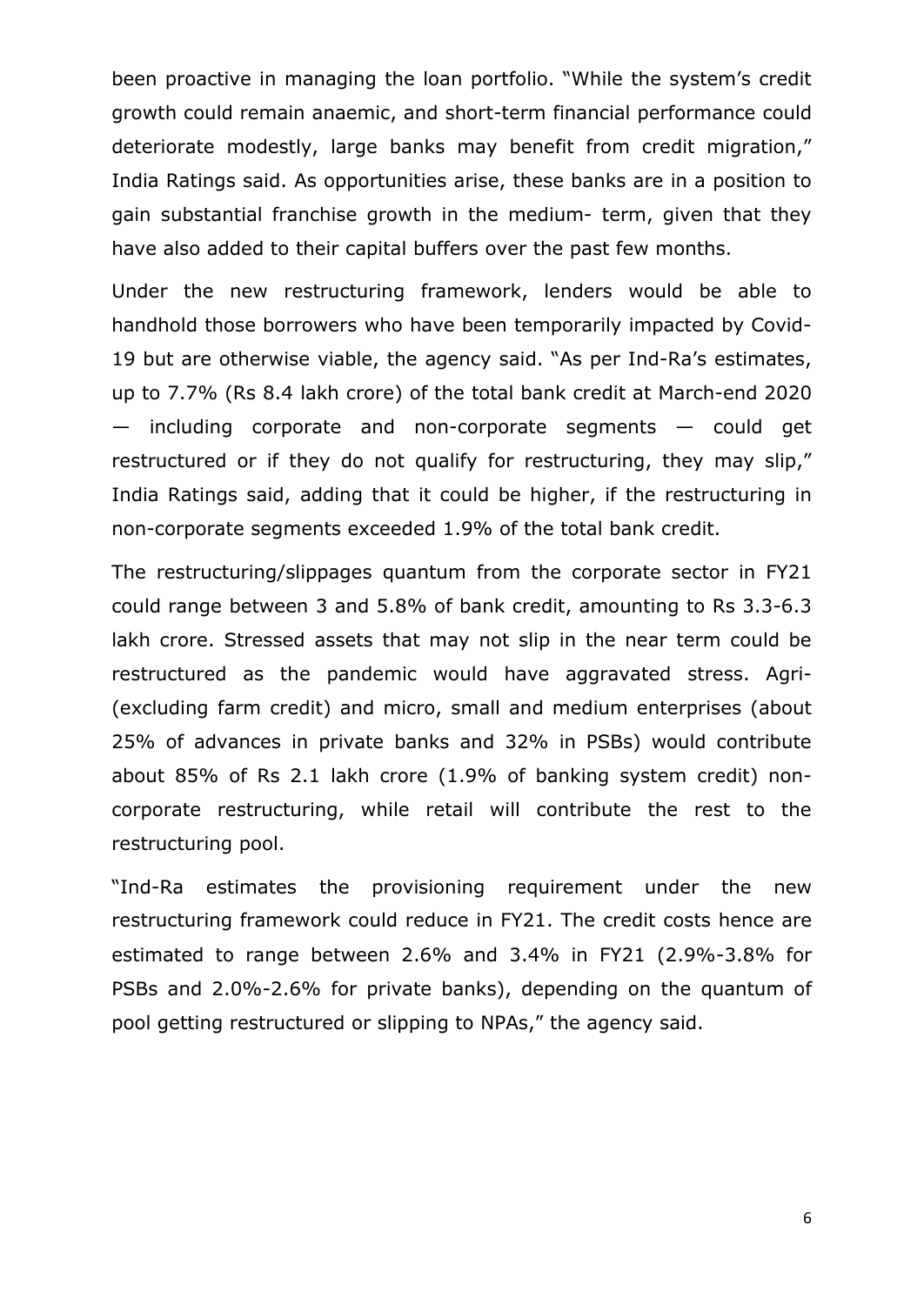been proactive in managing the loan portfolio. "While the system's credit growth could remain anaemic, and short-term financial performance could deteriorate modestly, large banks may benefit from credit migration," India Ratings said. As opportunities arise, these banks are in a position to gain substantial franchise growth in the medium- term, given that they have also added to their capital buffers over the past few months.

Under the new restructuring framework, lenders would be able to handhold those borrowers who have been temporarily impacted by Covid-19 but are otherwise viable, the agency said. "As per Ind-Ra's estimates, up to 7.7% (Rs 8.4 lakh crore) of the total bank credit at March-end 2020 — including corporate and non-corporate segments — could get restructured or if they do not qualify for restructuring, they may slip," India Ratings said, adding that it could be higher, if the restructuring in non-corporate segments exceeded 1.9% of the total bank credit.

The restructuring/slippages quantum from the corporate sector in FY21 could range between 3 and 5.8% of bank credit, amounting to Rs 3.3-6.3 lakh crore. Stressed assets that may not slip in the near term could be restructured as the pandemic would have aggravated stress. Agri- (excluding farm credit) and micro, small and medium enterprises (about 25% of advances in private banks and 32% in PSBs) would contribute about 85% of Rs 2.1 lakh crore (1.9% of banking system credit) noncorporate restructuring, while retail will contribute the rest to the restructuring pool.

"Ind-Ra estimates the provisioning requirement under the new restructuring framework could reduce in FY21. The credit costs hence are estimated to range between 2.6% and 3.4% in FY21 (2.9%-3.8% for PSBs and 2.0%-2.6% for private banks), depending on the quantum of pool getting restructured or slipping to NPAs," the agency said.

6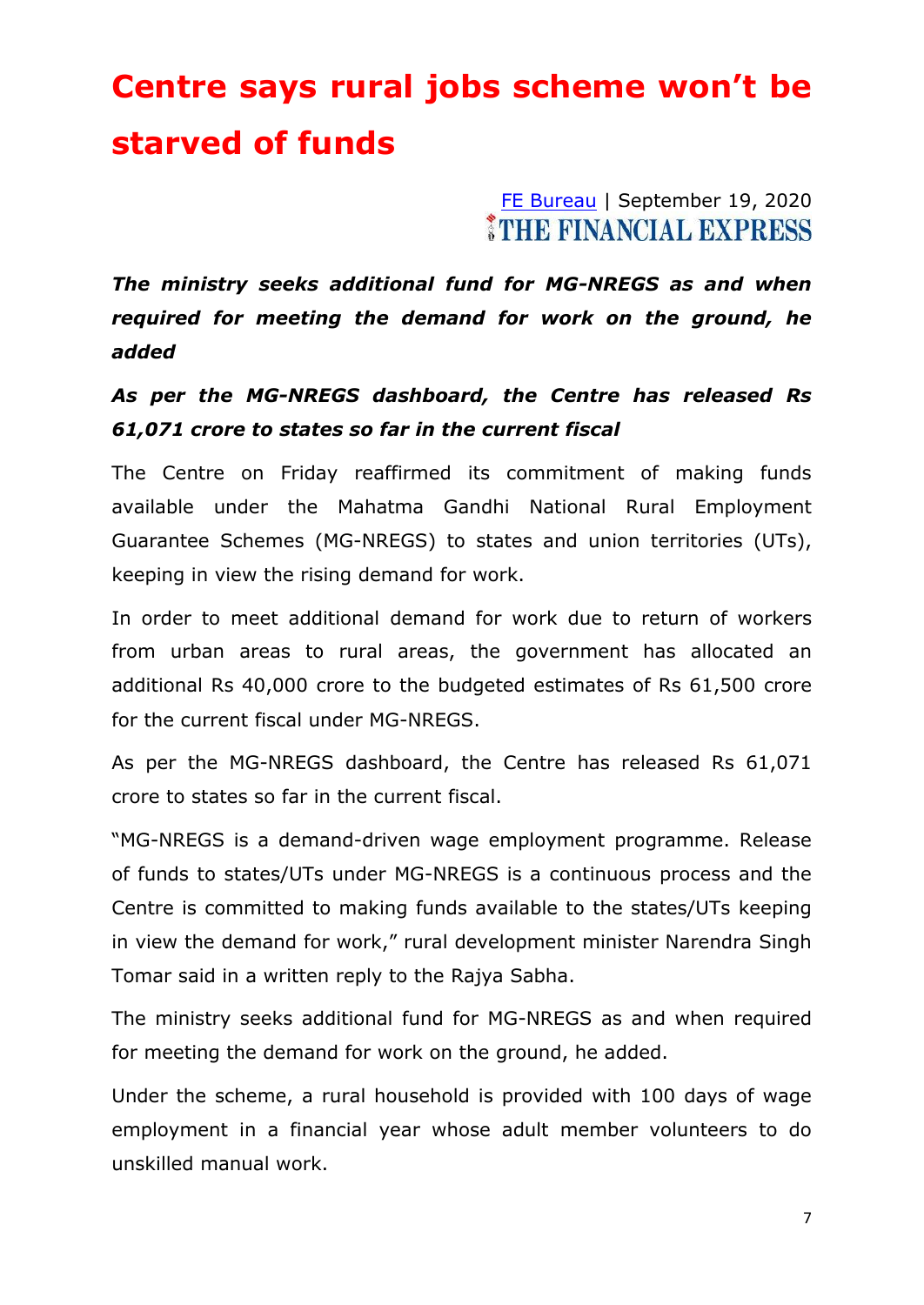## **Centre says rural jobs scheme won't be starved of funds**

[FE Bureau](https://www.financialexpress.com/author/fe-bureau/) | September 19, 2020 *MITHE FINANCIAL EXPRESS* 

*The ministry seeks additional fund for MG-NREGS as and when required for meeting the demand for work on the ground, he added*

#### *As per the MG-NREGS dashboard, the Centre has released Rs 61,071 crore to states so far in the current fiscal*

The Centre on Friday reaffirmed its commitment of making funds available under the Mahatma Gandhi National Rural Employment Guarantee Schemes (MG-NREGS) to states and union territories (UTs), keeping in view the rising demand for work.

In order to meet additional demand for work due to return of workers from urban areas to rural areas, the government has allocated an additional Rs 40,000 crore to the budgeted estimates of Rs 61,500 crore for the current fiscal under MG-NREGS.

As per the MG-NREGS dashboard, the Centre has released Rs 61,071 crore to states so far in the current fiscal.

"MG-NREGS is a demand-driven wage employment programme. Release of funds to states/UTs under MG-NREGS is a continuous process and the Centre is committed to making funds available to the states/UTs keeping in view the demand for work," rural development minister Narendra Singh Tomar said in a written reply to the Rajya Sabha.

The ministry seeks additional fund for MG-NREGS as and when required for meeting the demand for work on the ground, he added.

Under the scheme, a rural household is provided with 100 days of wage employment in a financial year whose adult member volunteers to do unskilled manual work.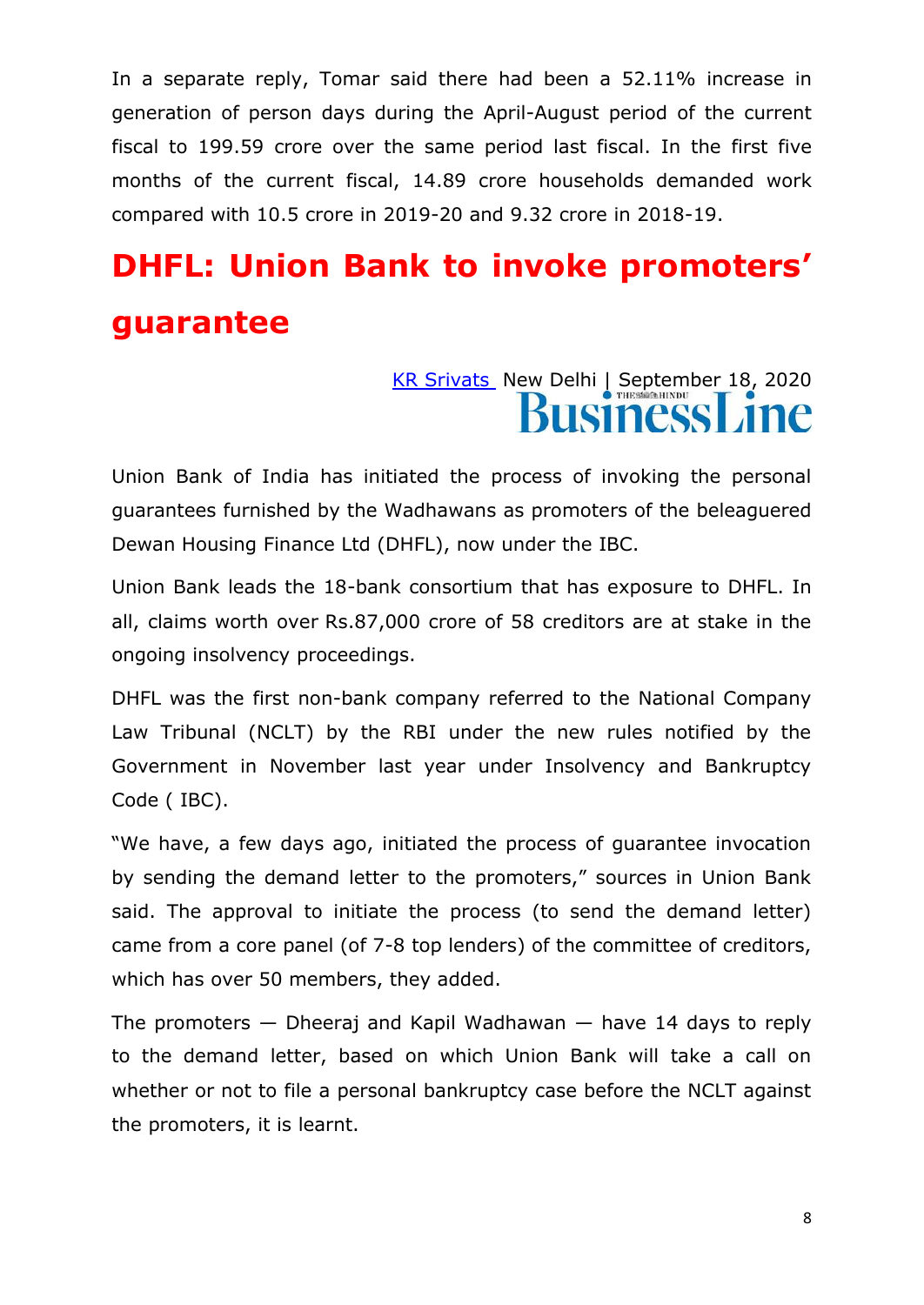In a separate reply, Tomar said there had been a 52.11% increase in generation of person days during the April-August period of the current fiscal to 199.59 crore over the same period last fiscal. In the first five months of the current fiscal, 14.89 crore households demanded work compared with 10.5 crore in 2019-20 and 9.32 crore in 2018-19.

## **DHFL: Union Bank to invoke promoters' guarantee**

# [KR Srivats](https://www.thehindubusinessline.com/profile/author/KR-Srivats-16087/) New Delhi | September 18, 2020

Union Bank of India has initiated the process of invoking the personal guarantees furnished by the Wadhawans as promoters of the beleaguered Dewan Housing Finance Ltd (DHFL), now under the IBC.

Union Bank leads the 18-bank consortium that has exposure to DHFL. In all, claims worth over Rs.87,000 crore of 58 creditors are at stake in the ongoing insolvency proceedings.

DHFL was the first non-bank company referred to the National Company Law Tribunal (NCLT) by the RBI under the new rules notified by the Government in November last year under Insolvency and Bankruptcy Code ( IBC).

"We have, a few days ago, initiated the process of quarantee invocation by sending the demand letter to the promoters," sources in Union Bank said. The approval to initiate the process (to send the demand letter) came from a core panel (of 7-8 top lenders) of the committee of creditors, which has over 50 members, they added.

The promoters  $-$  Dheeraj and Kapil Wadhawan  $-$  have 14 days to reply to the demand letter, based on which Union Bank will take a call on whether or not to file a personal bankruptcy case before the NCLT against the promoters, it is learnt.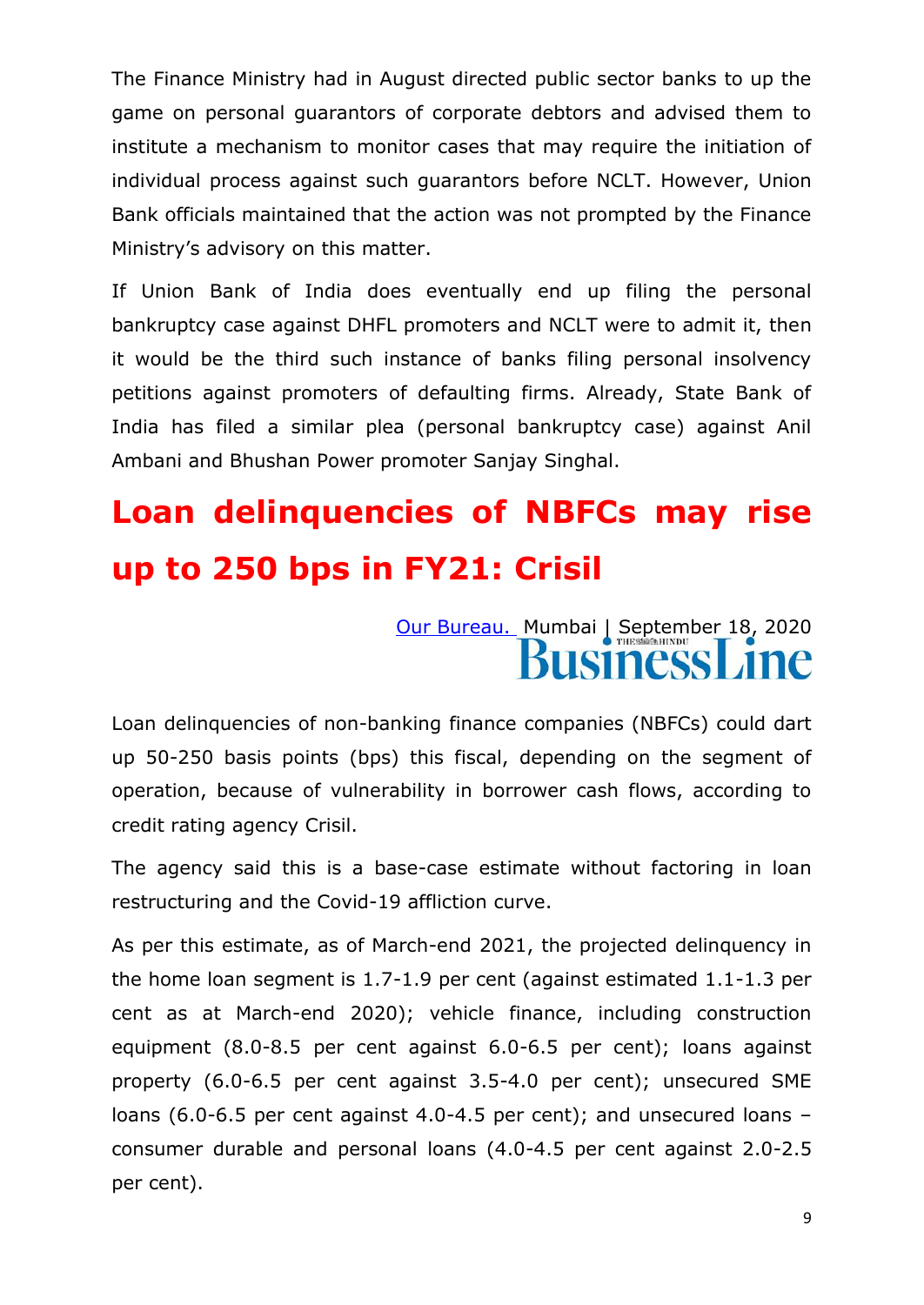The Finance Ministry had in August directed public sector banks to up the game on personal guarantors of corporate debtors and advised them to institute a mechanism to monitor cases that may require the initiation of individual process against such guarantors before NCLT. However, Union Bank officials maintained that the action was not prompted by the Finance Ministry's advisory on this matter.

If Union Bank of India does eventually end up filing the personal bankruptcy case against DHFL promoters and NCLT were to admit it, then it would be the third such instance of banks filing personal insolvency petitions against promoters of defaulting firms. Already, State Bank of India has filed a similar plea (personal bankruptcy case) against Anil Ambani and Bhushan Power promoter Sanjay Singhal.

## **Loan delinquencies of NBFCs may rise up to 250 bps in FY21: Crisil**

[Our Bureau.](https://www.thehindubusinessline.com/profile/author/Our-Bureau-137009/) Mumbai | September 18, 2020

Loan delinquencies of non-banking finance companies (NBFCs) could dart up 50-250 basis points (bps) this fiscal, depending on the segment of operation, because of vulnerability in borrower cash flows, according to credit rating agency Crisil.

The agency said this is a base-case estimate without factoring in loan restructuring and the Covid-19 affliction curve.

As per this estimate, as of March-end 2021, the projected delinquency in the home loan segment is 1.7-1.9 per cent (against estimated 1.1-1.3 per cent as at March-end 2020); vehicle finance, including construction equipment (8.0-8.5 per cent against 6.0-6.5 per cent); loans against property (6.0-6.5 per cent against 3.5-4.0 per cent); unsecured SME loans (6.0-6.5 per cent against 4.0-4.5 per cent); and unsecured loans – consumer durable and personal loans (4.0-4.5 per cent against 2.0-2.5 per cent).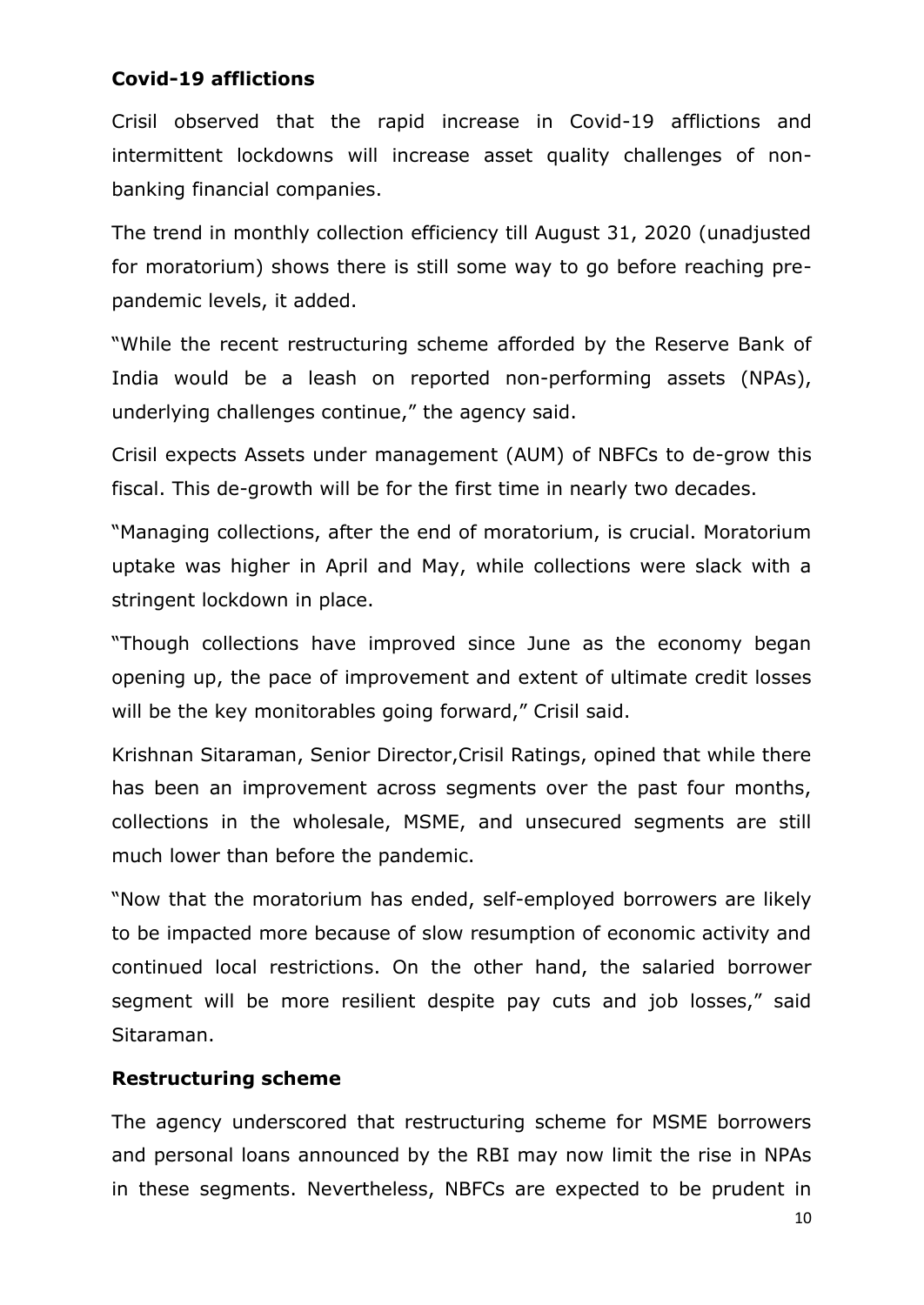#### **Covid-19 afflictions**

Crisil observed that the rapid increase in Covid-19 afflictions and intermittent lockdowns will increase asset quality challenges of nonbanking financial companies.

The trend in monthly collection efficiency till August 31, 2020 (unadjusted for moratorium) shows there is still some way to go before reaching prepandemic levels, it added.

"While the recent restructuring scheme afforded by the Reserve Bank of India would be a leash on reported non-performing assets (NPAs), underlying challenges continue," the agency said.

Crisil expects Assets under management (AUM) of NBFCs to de-grow this fiscal. This de-growth will be for the first time in nearly two decades.

"Managing collections, after the end of moratorium, is crucial. Moratorium uptake was higher in April and May, while collections were slack with a stringent lockdown in place.

"Though collections have improved since June as the economy began opening up, the pace of improvement and extent of ultimate credit losses will be the key monitorables going forward," Crisil said.

Krishnan Sitaraman, Senior Director,Crisil Ratings, opined that while there has been an improvement across segments over the past four months, collections in the wholesale, MSME, and unsecured segments are still much lower than before the pandemic.

"Now that the moratorium has ended, self-employed borrowers are likely to be impacted more because of slow resumption of economic activity and continued local restrictions. On the other hand, the salaried borrower segment will be more resilient despite pay cuts and job losses," said Sitaraman.

#### **Restructuring scheme**

The agency underscored that restructuring scheme for MSME borrowers and personal loans announced by the RBI may now limit the rise in NPAs in these segments. Nevertheless, NBFCs are expected to be prudent in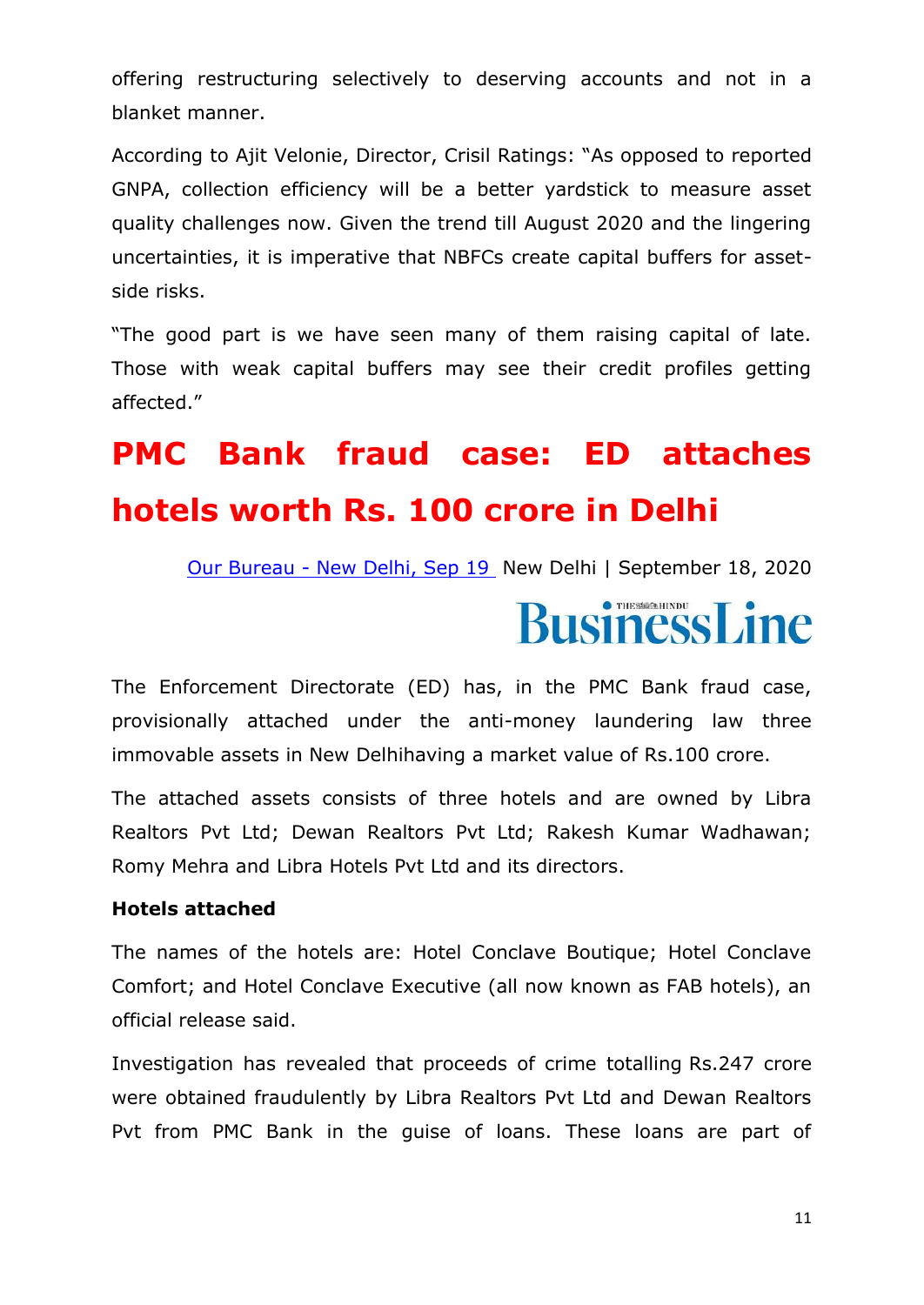offering restructuring selectively to deserving accounts and not in a blanket manner.

According to Ajit Velonie, Director, Crisil Ratings: "As opposed to reported GNPA, collection efficiency will be a better yardstick to measure asset quality challenges now. Given the trend till August 2020 and the lingering uncertainties, it is imperative that NBFCs create capital buffers for assetside risks.

"The good part is we have seen many of them raising capital of late. Those with weak capital buffers may see their credit profiles getting affected."

## **PMC Bank fraud case: ED attaches hotels worth Rs. 100 crore in Delhi**

Our Bureau - [New Delhi, Sep 19](https://www.thehindubusinessline.com/profile/author/Our-Bureau-web-and-print-New-Delhi-Sep-19-137904/) New Delhi | September 18, 2020

# **BusinessLine**

The Enforcement Directorate (ED) has, in the PMC Bank fraud case, provisionally attached under the anti-money laundering law three immovable assets in New Delhihaving a market value of Rs.100 crore.

The attached assets consists of three hotels and are owned by Libra Realtors Pvt Ltd; Dewan Realtors Pvt Ltd; Rakesh Kumar Wadhawan; Romy Mehra and Libra Hotels Pvt Ltd and its directors.

#### **Hotels attached**

The names of the hotels are: Hotel Conclave Boutique; Hotel Conclave Comfort; and Hotel Conclave Executive (all now known as FAB hotels), an official release said.

Investigation has revealed that proceeds of crime totalling Rs.247 crore were obtained fraudulently by Libra Realtors Pvt Ltd and Dewan Realtors Pvt from PMC Bank in the guise of loans. These loans are part of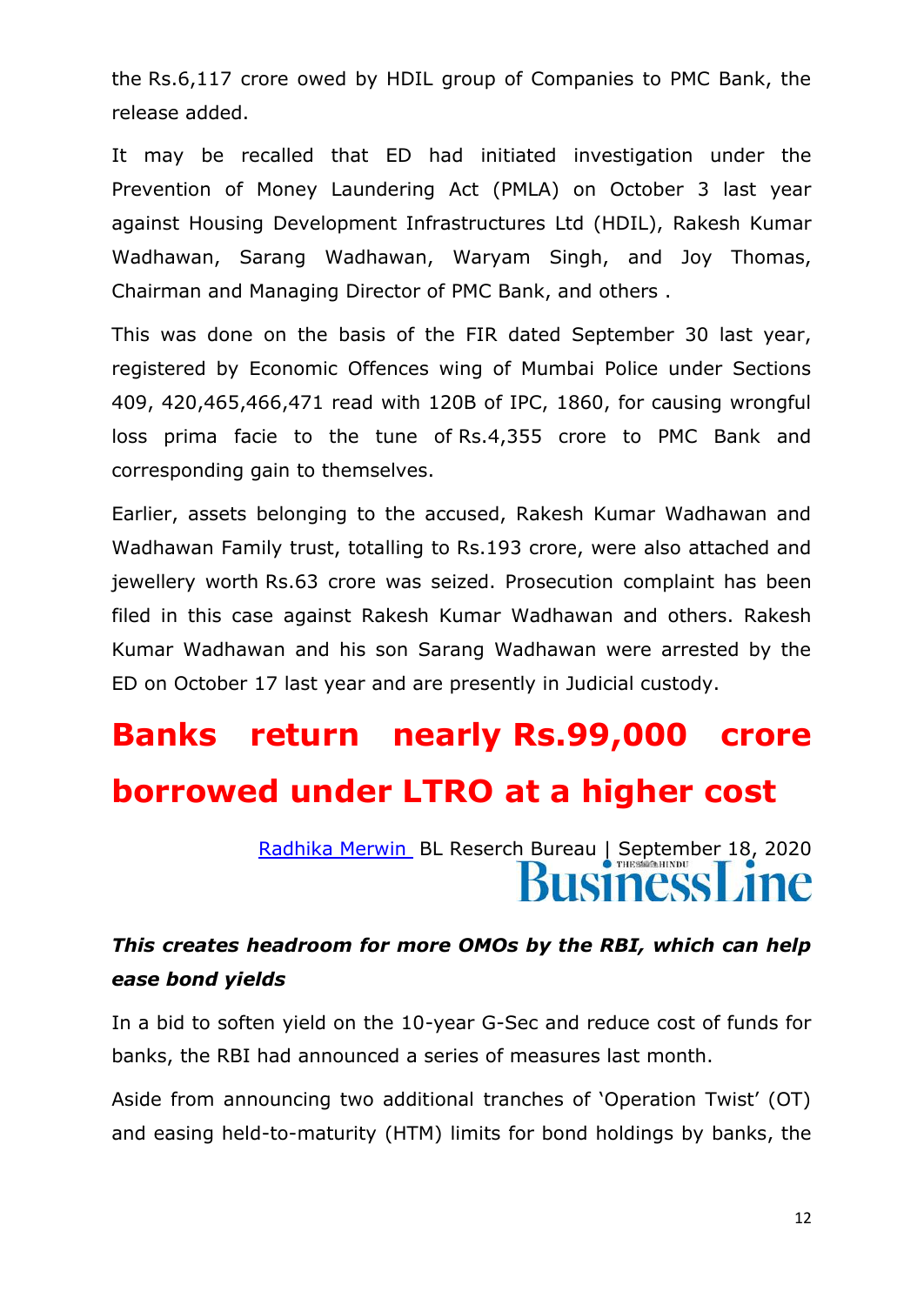the Rs.6,117 crore owed by HDIL group of Companies to PMC Bank, the release added.

It may be recalled that ED had initiated investigation under the Prevention of Money Laundering Act (PMLA) on October 3 last year against Housing Development Infrastructures Ltd (HDIL), Rakesh Kumar Wadhawan, Sarang Wadhawan, Waryam Singh, and Joy Thomas, Chairman and Managing Director of PMC Bank, and others .

This was done on the basis of the FIR dated September 30 last year, registered by Economic Offences wing of Mumbai Police under Sections 409, 420,465,466,471 read with 120B of IPC, 1860, for causing wrongful loss prima facie to the tune of Rs.4,355 crore to PMC Bank and corresponding gain to themselves.

Earlier, assets belonging to the accused, Rakesh Kumar Wadhawan and Wadhawan Family trust, totalling to Rs.193 crore, were also attached and jewellery worth Rs.63 crore was seized. Prosecution complaint has been filed in this case against Rakesh Kumar Wadhawan and others. Rakesh Kumar Wadhawan and his son Sarang Wadhawan were arrested by the ED on October 17 last year and are presently in Judicial custody.

## **Banks return nearly Rs.99,000 crore borrowed under LTRO at a higher cost**

[Radhika Merwin](https://www.thehindubusinessline.com/profile/author/Radhika-Merwin-23009/) BL Reserch Bureau | September 18, 2020 ISIness Line

#### *This creates headroom for more OMOs by the RBI, which can help ease bond yields*

In a bid to soften yield on the 10-year G-Sec and reduce cost of funds for banks, the RBI had announced a series of measures last month.

Aside from announcing two additional tranches of 'Operation Twist' (OT) and easing held-to-maturity (HTM) limits for bond holdings by banks, the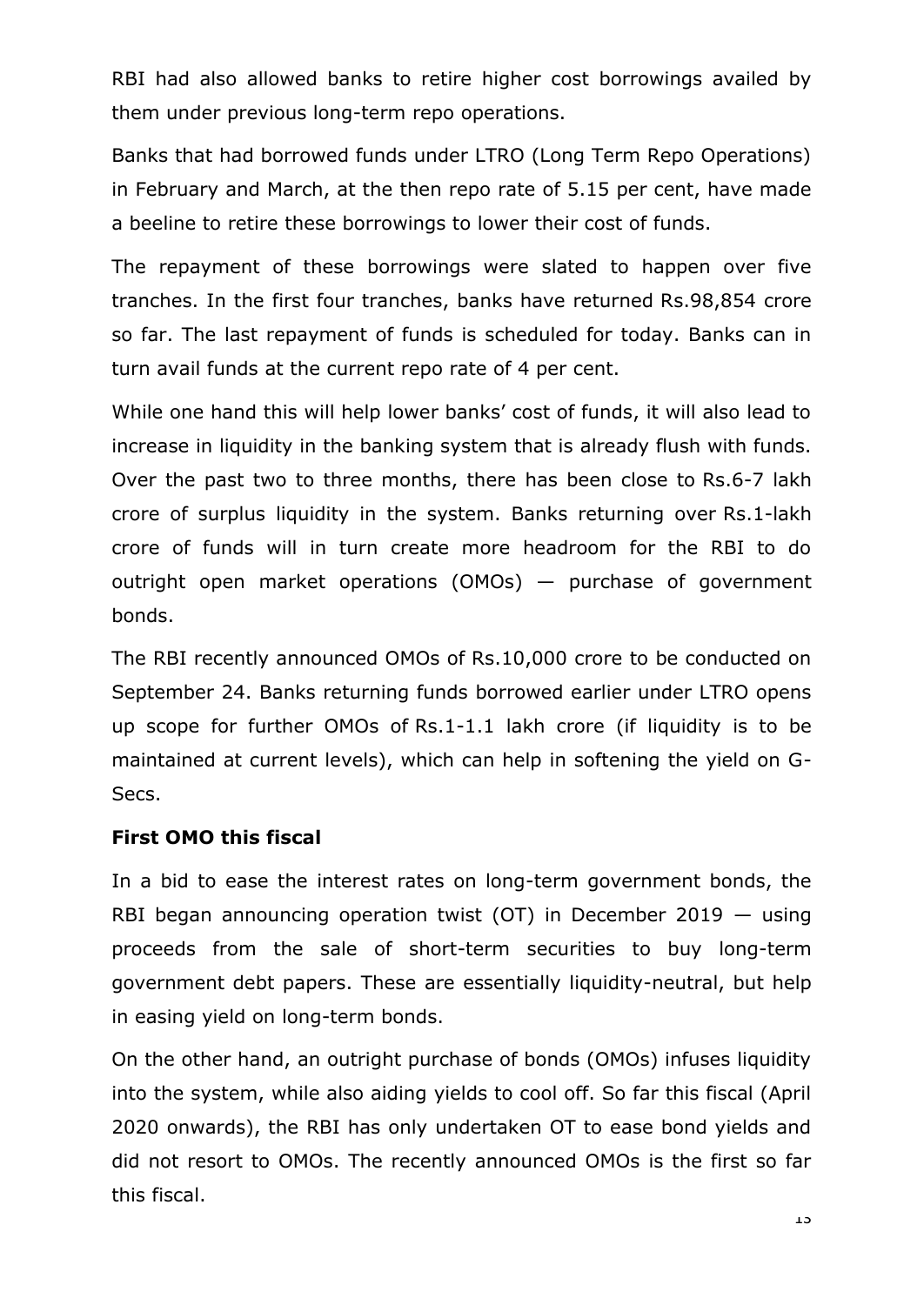RBI had also allowed banks to retire higher cost borrowings availed by them under previous long-term repo operations.

Banks that had borrowed funds under LTRO (Long Term Repo Operations) in February and March, at the then repo rate of 5.15 per cent, have made a beeline to retire these borrowings to lower their cost of funds.

The repayment of these borrowings were slated to happen over five tranches. In the first four tranches, banks have returned Rs.98,854 crore so far. The last repayment of funds is scheduled for today. Banks can in turn avail funds at the current repo rate of 4 per cent.

While one hand this will help lower banks' cost of funds, it will also lead to increase in liquidity in the banking system that is already flush with funds. Over the past two to three months, there has been close to Rs.6-7 lakh crore of surplus liquidity in the system. Banks returning over Rs.1-lakh crore of funds will in turn create more headroom for the RBI to do outright open market operations (OMOs) — purchase of government bonds.

The RBI recently announced OMOs of Rs.10,000 crore to be conducted on September 24. Banks returning funds borrowed earlier under LTRO opens up scope for further OMOs of Rs.1-1.1 lakh crore (if liquidity is to be maintained at current levels), which can help in softening the yield on G-Secs.

#### **First OMO this fiscal**

In a bid to ease the interest rates on long-term government bonds, the RBI began announcing operation twist (OT) in December 2019 — using proceeds from the sale of short-term securities to buy long-term government debt papers. These are essentially liquidity-neutral, but help in easing yield on long-term bonds.

On the other hand, an outright purchase of bonds (OMOs) infuses liquidity into the system, while also aiding yields to cool off. So far this fiscal (April 2020 onwards), the RBI has only undertaken OT to ease bond yields and did not resort to OMOs. The recently announced OMOs is the first so far this fiscal.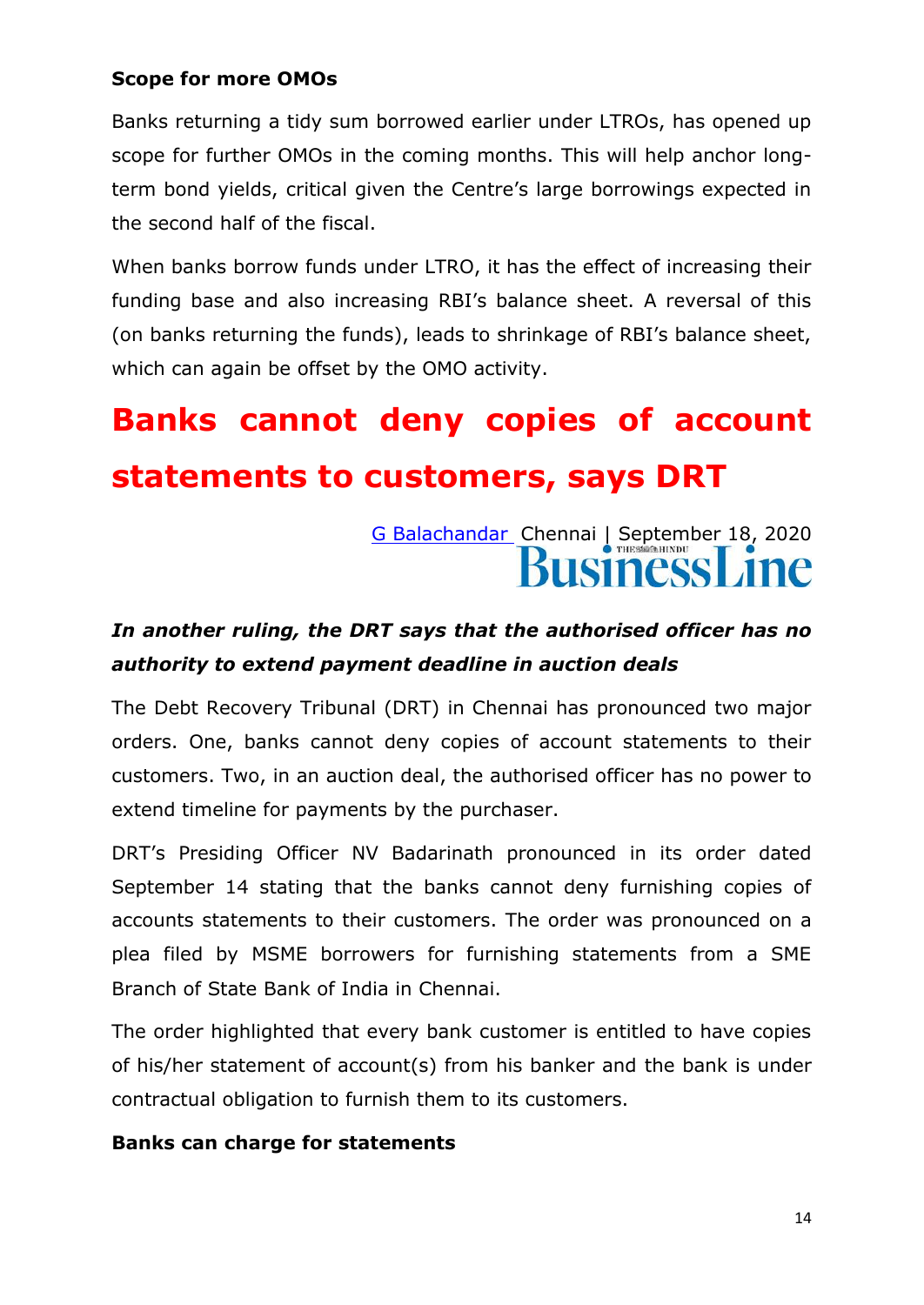#### **Scope for more OMOs**

Banks returning a tidy sum borrowed earlier under LTROs, has opened up scope for further OMOs in the coming months. This will help anchor longterm bond yields, critical given the Centre's large borrowings expected in the second half of the fiscal.

When banks borrow funds under LTRO, it has the effect of increasing their funding base and also increasing RBI's balance sheet. A reversal of this (on banks returning the funds), leads to shrinkage of RBI's balance sheet, which can again be offset by the OMO activity.

## **Banks cannot deny copies of account statements to customers, says DRT**

### [G Balachandar](https://www.thehindubusinessline.com/profile/author/G-Balachandar-16073/) Chennai | September 18, 2020 usiness Line

#### *In another ruling, the DRT says that the authorised officer has no authority to extend payment deadline in auction deals*

The Debt Recovery Tribunal (DRT) in Chennai has pronounced two major orders. One, banks cannot deny copies of account statements to their customers. Two, in an auction deal, the authorised officer has no power to extend timeline for payments by the purchaser.

DRT's Presiding Officer NV Badarinath pronounced in its order dated September 14 stating that the banks cannot deny furnishing copies of accounts statements to their customers. The order was pronounced on a plea filed by MSME borrowers for furnishing statements from a SME Branch of State Bank of India in Chennai.

The order highlighted that every bank customer is entitled to have copies of his/her statement of account(s) from his banker and the bank is under contractual obligation to furnish them to its customers.

#### **Banks can charge for statements**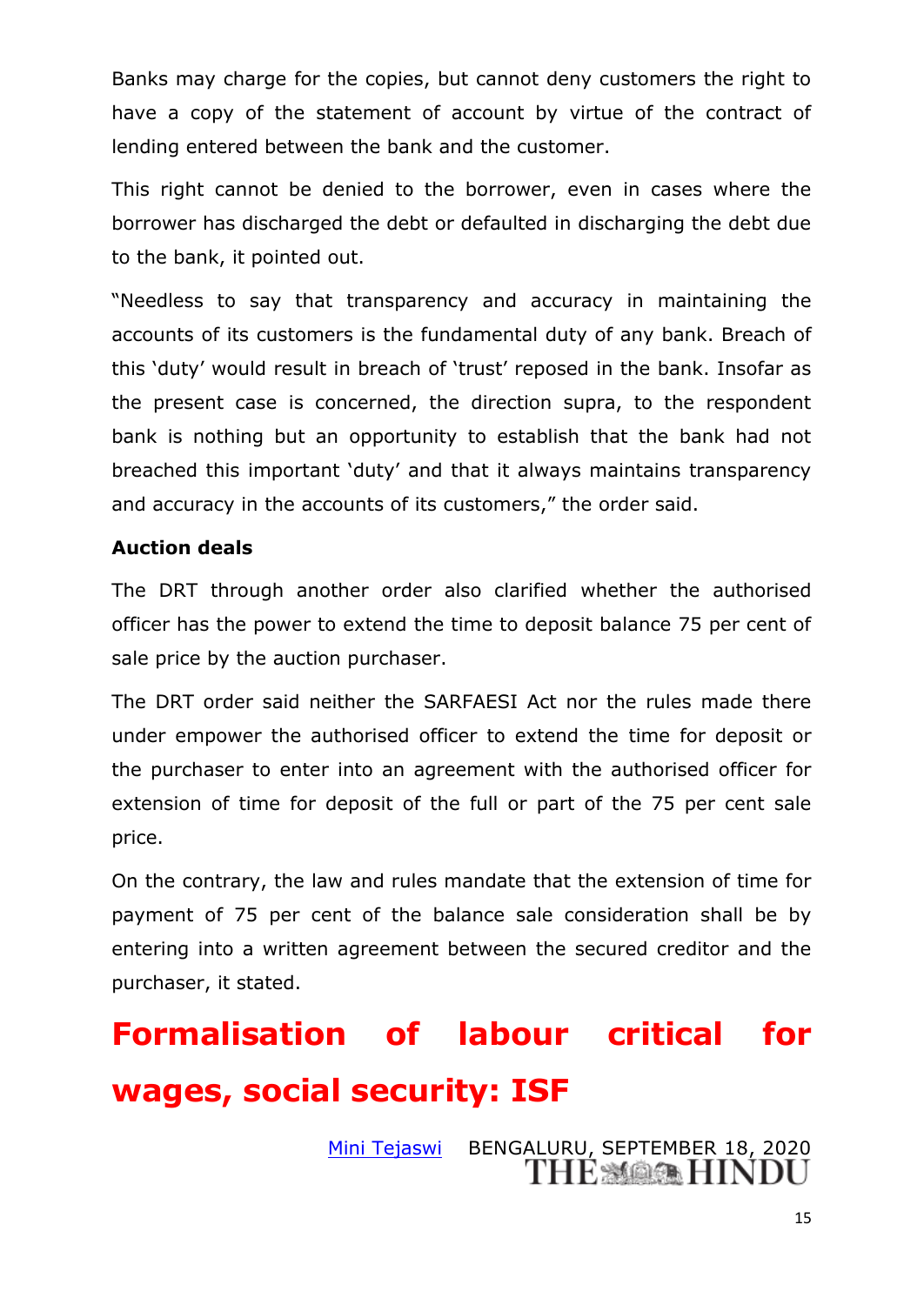Banks may charge for the copies, but cannot deny customers the right to have a copy of the statement of account by virtue of the contract of lending entered between the bank and the customer.

This right cannot be denied to the borrower, even in cases where the borrower has discharged the debt or defaulted in discharging the debt due to the bank, it pointed out.

"Needless to say that transparency and accuracy in maintaining the accounts of its customers is the fundamental duty of any bank. Breach of this 'duty' would result in breach of 'trust' reposed in the bank. Insofar as the present case is concerned, the direction supra, to the respondent bank is nothing but an opportunity to establish that the bank had not breached this important 'duty' and that it always maintains transparency and accuracy in the accounts of its customers," the order said.

#### **Auction deals**

The DRT through another order also clarified whether the authorised officer has the power to extend the time to deposit balance 75 per cent of sale price by the auction purchaser.

The DRT order said neither the SARFAESI Act nor the rules made there under empower the authorised officer to extend the time for deposit or the purchaser to enter into an agreement with the authorised officer for extension of time for deposit of the full or part of the 75 per cent sale price.

On the contrary, the law and rules mandate that the extension of time for payment of 75 per cent of the balance sale consideration shall be by entering into a written agreement between the secured creditor and the purchaser, it stated.

## **Formalisation of labour critical for wages, social security: ISF**

[Mini Tejaswi](https://www.thehindu.com/profile/author/Mini-Tejaswi-57670/) BENGALURU, SEPTEMBER 18, 2020THE MAGE HINDU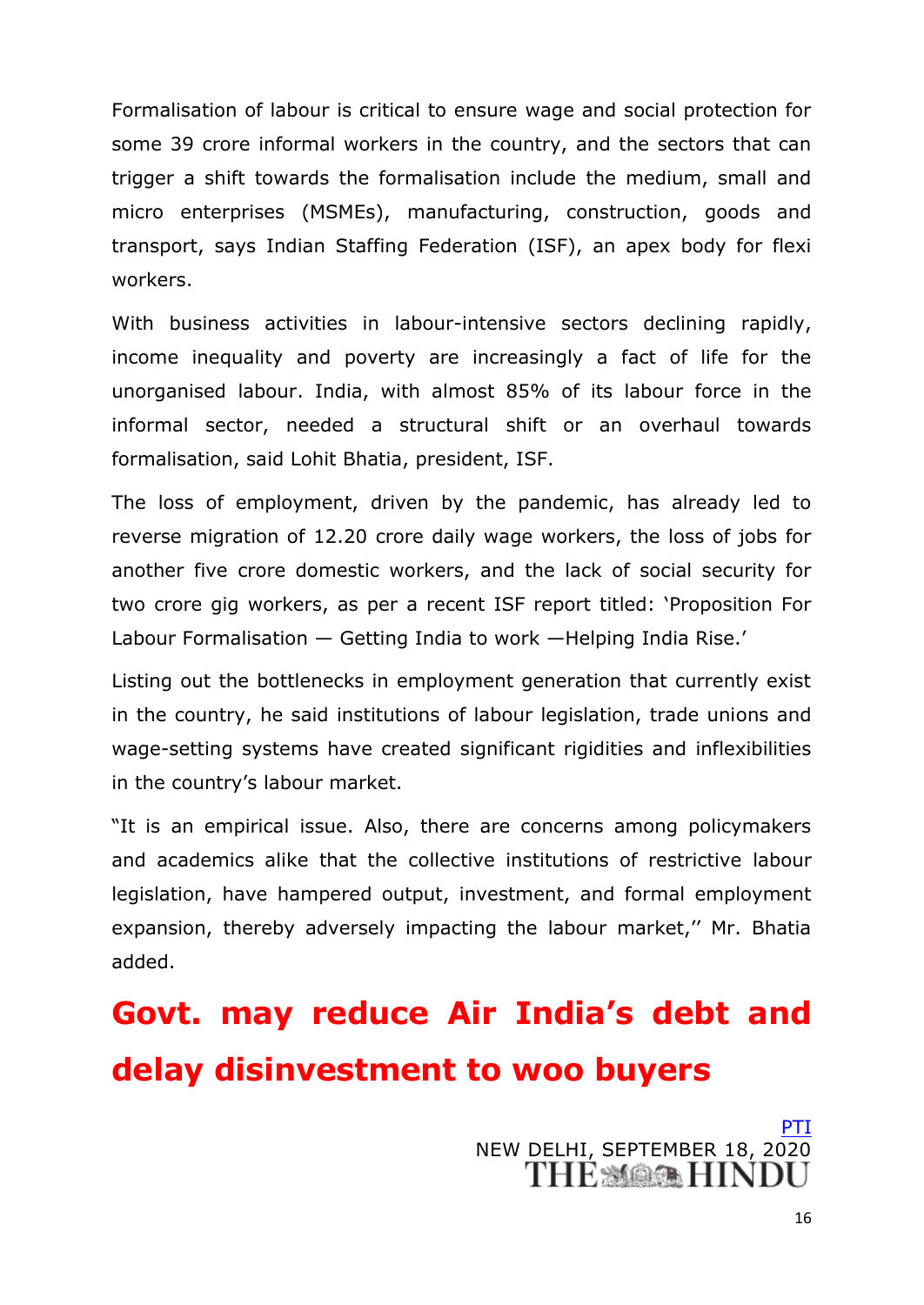Formalisation of labour is critical to ensure wage and social protection for some 39 crore informal workers in the country, and the sectors that can trigger a shift towards the formalisation include the medium, small and micro enterprises (MSMEs), manufacturing, construction, goods and transport, says Indian Staffing Federation (ISF), an apex body for flexi workers.

With business activities in labour-intensive sectors declining rapidly, income inequality and poverty are increasingly a fact of life for the unorganised labour. India, with almost 85% of its labour force in the informal sector, needed a structural shift or an overhaul towards formalisation, said Lohit Bhatia, president, ISF.

The loss of employment, driven by the pandemic, has already led to reverse migration of 12.20 crore daily wage workers, the loss of jobs for another five crore domestic workers, and the lack of social security for two crore gig workers, as per a recent ISF report titled: ‗Proposition For Labour Formalisation — Getting India to work —Helping India Rise.'

Listing out the bottlenecks in employment generation that currently exist in the country, he said institutions of labour legislation, trade unions and wage-setting systems have created significant rigidities and inflexibilities in the country's labour market.

"It is an empirical issue. Also, there are concerns among policymakers and academics alike that the collective institutions of restrictive labour legislation, have hampered output, investment, and formal employment expansion, thereby adversely impacting the labour market," Mr. Bhatia added.

## **Govt. may reduce Air India's debt and delay disinvestment to woo buyers**

[PTI](https://www.thehindu.com/business/Industry/govt-may-reduce-air-indias-debt-and-delay-disinvestment-to-woo-buyers/article32640539.ece) NEW DELHI, SEPTEMBER 18, 2020<br>THE MOOR HINDI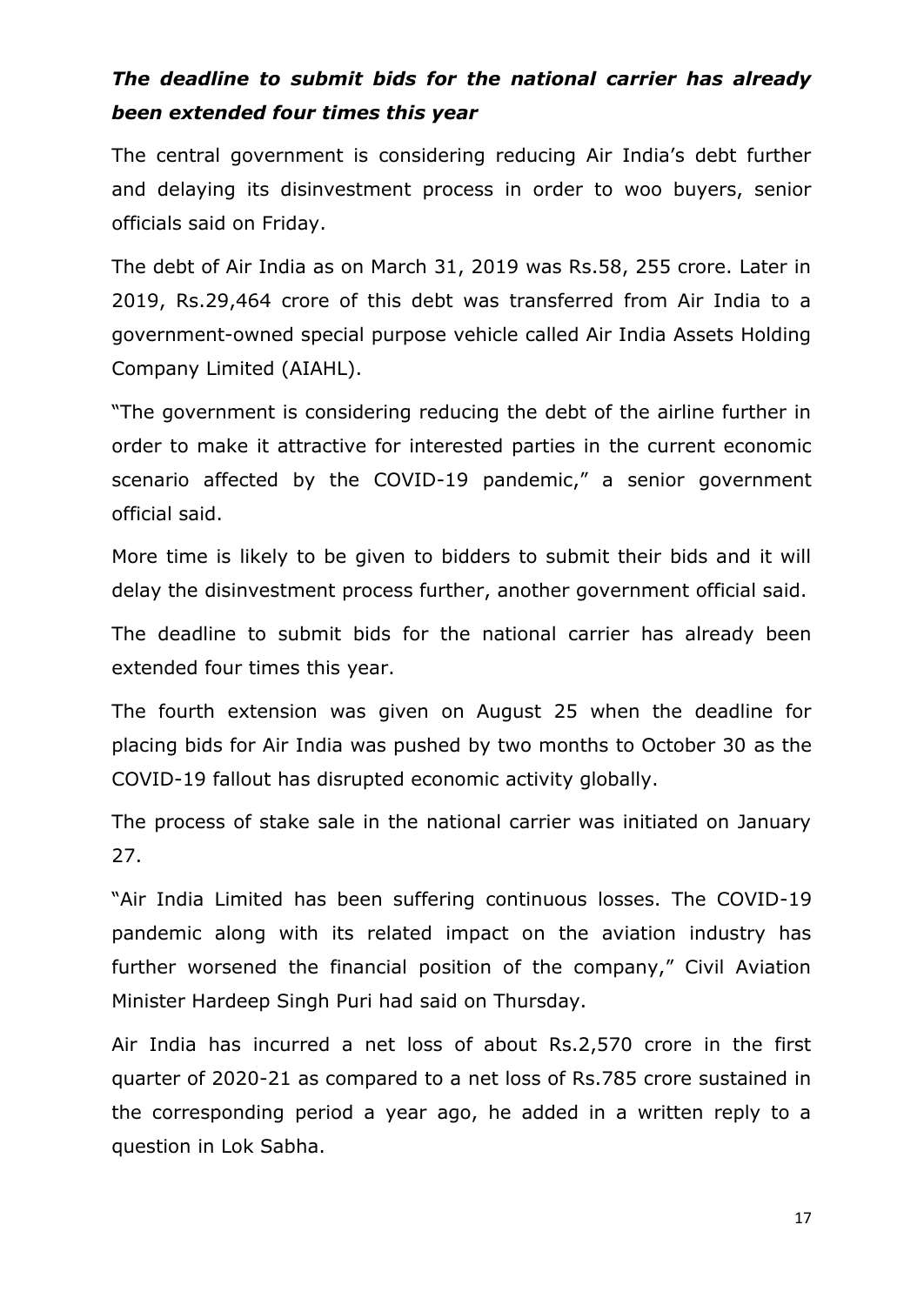#### *The deadline to submit bids for the national carrier has already been extended four times this year*

The central government is considering reducing Air India's debt further and delaying its disinvestment process in order to woo buyers, senior officials said on Friday.

The debt of Air India as on March 31, 2019 was Rs.58, 255 crore. Later in 2019, Rs.29,464 crore of this debt was transferred from Air India to a government-owned special purpose vehicle called Air India Assets Holding Company Limited (AIAHL).

"The government is considering reducing the debt of the airline further in order to make it attractive for interested parties in the current economic scenario affected by the COVID-19 pandemic," a senior government official said.

More time is likely to be given to bidders to submit their bids and it will delay the disinvestment process further, another government official said.

The deadline to submit bids for the national carrier has already been extended four times this year.

The fourth extension was given on August 25 when the deadline for placing bids for Air India was pushed by two months to October 30 as the COVID-19 fallout has disrupted economic activity globally.

The process of stake sale in the national carrier was initiated on January 27.

"Air India Limited has been suffering continuous losses. The COVID-19 pandemic along with its related impact on the aviation industry has further worsened the financial position of the company," Civil Aviation Minister Hardeep Singh Puri had said on Thursday.

Air India has incurred a net loss of about Rs.2,570 crore in the first quarter of 2020-21 as compared to a net loss of Rs.785 crore sustained in the corresponding period a year ago, he added in a written reply to a question in Lok Sabha.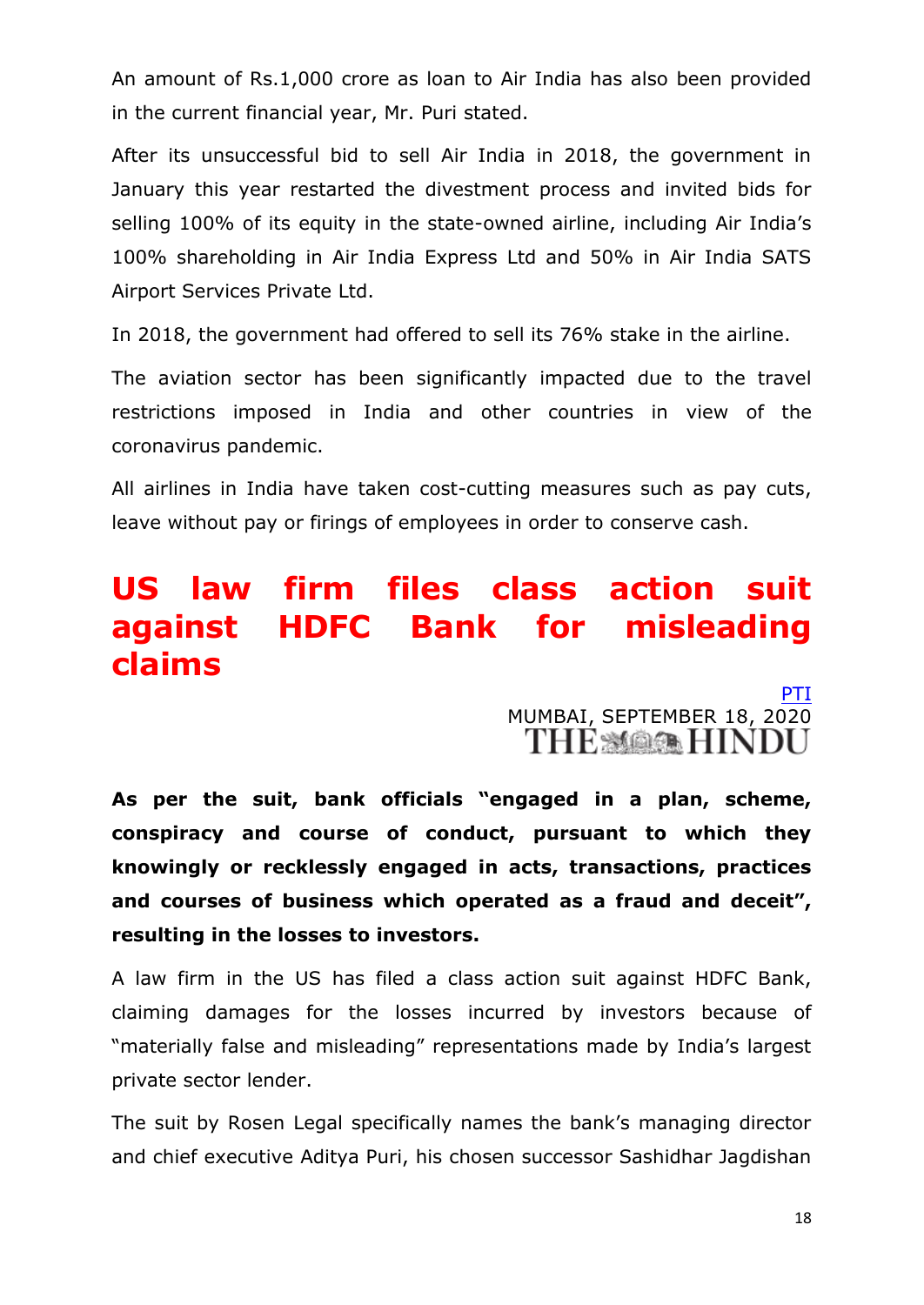An amount of Rs.1,000 crore as loan to Air India has also been provided in the current financial year, Mr. Puri stated.

After its unsuccessful bid to sell Air India in 2018, the government in January this year restarted the divestment process and invited bids for selling 100% of its equity in the state-owned airline, including Air India's 100% shareholding in Air India Express Ltd and 50% in Air India SATS Airport Services Private Ltd.

In 2018, the government had offered to sell its 76% stake in the airline.

The aviation sector has been significantly impacted due to the travel restrictions imposed in India and other countries in view of the coronavirus pandemic.

All airlines in India have taken cost-cutting measures such as pay cuts, leave without pay or firings of employees in order to conserve cash.

### **US law firm files class action suit against HDFC Bank for misleading claims**

[PTI](https://www.thehindu.com/business/Industry/us-law-firm-files-class-action-suit-against-hdfc-bank-for-misleading-claims/article32636794.ece) MUMBAI, SEPTEMBER 18, 2020

**As per the suit, bank officials "engaged in a plan, scheme, conspiracy and course of conduct, pursuant to which they knowingly or recklessly engaged in acts, transactions, practices and courses of business which operated as a fraud and deceit", resulting in the losses to investors.**

A law firm in the US has filed a class action suit against HDFC Bank, claiming damages for the losses incurred by investors because of "materially false and misleading" representations made by India's largest private sector lender.

The suit by Rosen Legal specifically names the bank's managing director and chief executive Aditya Puri, his chosen successor Sashidhar Jagdishan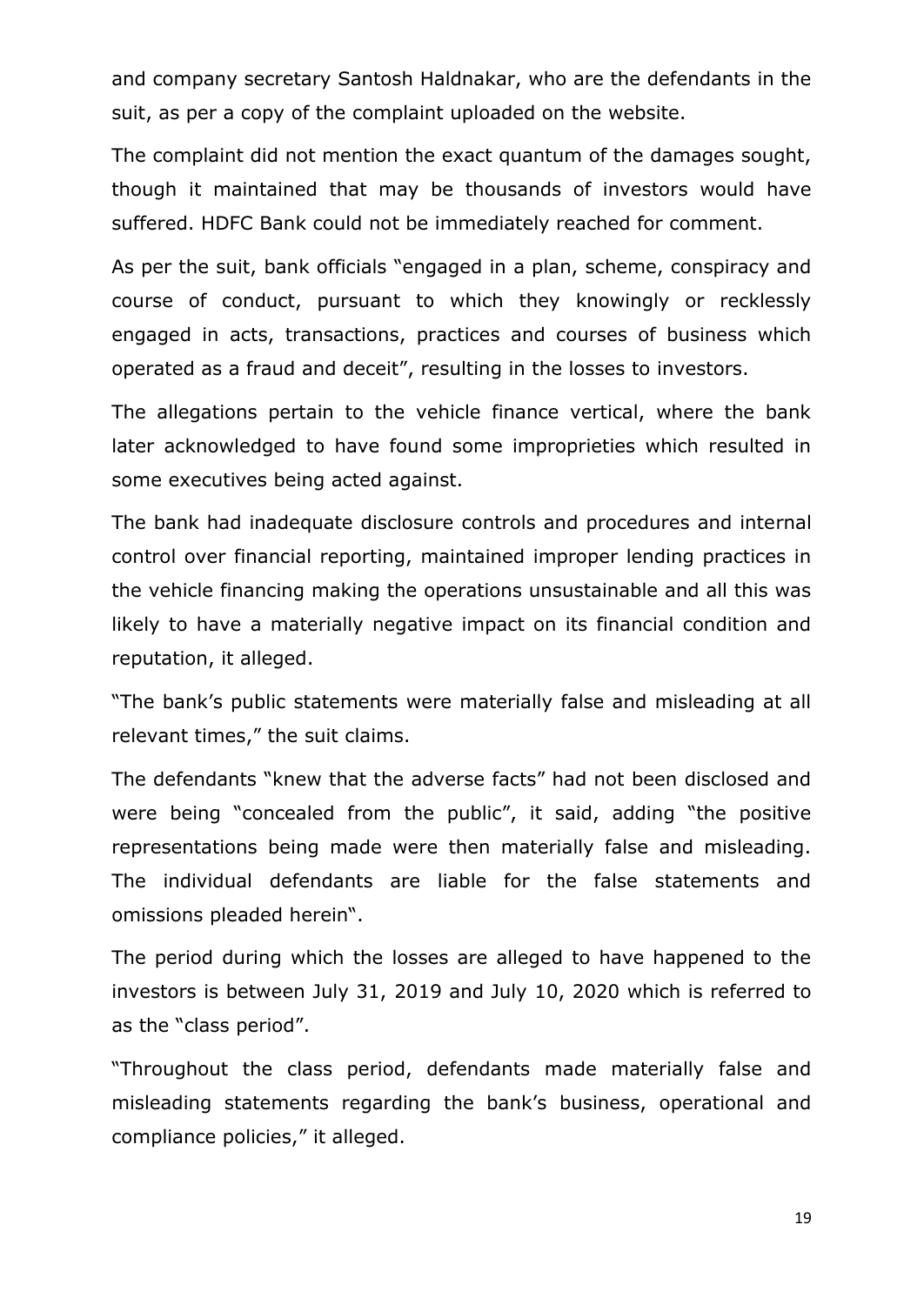and company secretary Santosh Haldnakar, who are the defendants in the suit, as per a copy of the complaint uploaded on the website.

The complaint did not mention the exact quantum of the damages sought, though it maintained that may be thousands of investors would have suffered. HDFC Bank could not be immediately reached for comment.

As per the suit, bank officials "engaged in a plan, scheme, conspiracy and course of conduct, pursuant to which they knowingly or recklessly engaged in acts, transactions, practices and courses of business which operated as a fraud and deceit", resulting in the losses to investors.

The allegations pertain to the vehicle finance vertical, where the bank later acknowledged to have found some improprieties which resulted in some executives being acted against.

The bank had inadequate disclosure controls and procedures and internal control over financial reporting, maintained improper lending practices in the vehicle financing making the operations unsustainable and all this was likely to have a materially negative impact on its financial condition and reputation, it alleged.

"The bank's public statements were materially false and misleading at all relevant times," the suit claims.

The defendants "knew that the adverse facts" had not been disclosed and were being "concealed from the public", it said, adding "the positive representations being made were then materially false and misleading. The individual defendants are liable for the false statements and omissions pleaded herein".

The period during which the losses are alleged to have happened to the investors is between July 31, 2019 and July 10, 2020 which is referred to as the "class period".

"Throughout the class period, defendants made materially false and misleading statements regarding the bank's business, operational and compliance policies," it alleged.

19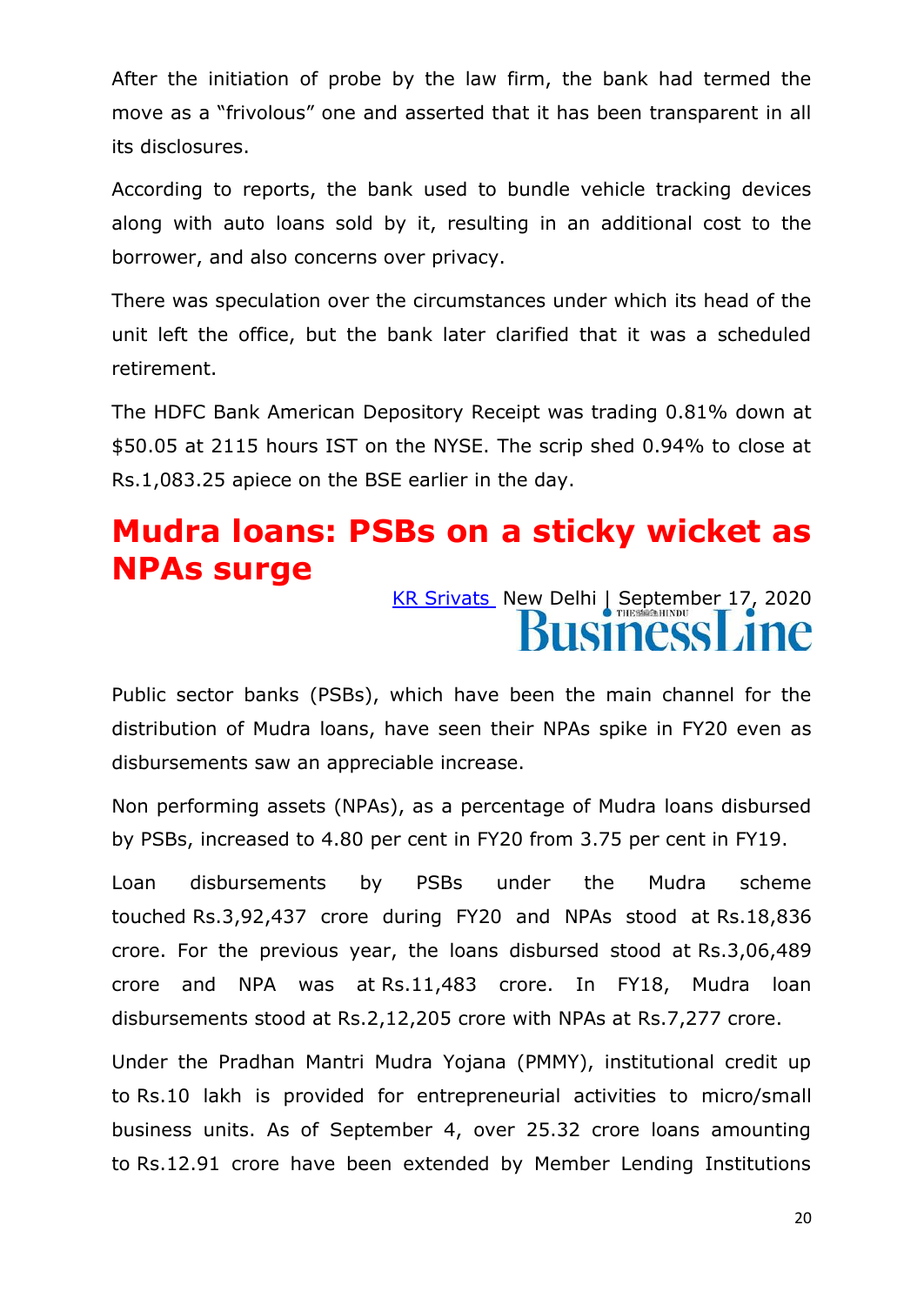After the initiation of probe by the law firm, the bank had termed the move as a "frivolous" one and asserted that it has been transparent in all its disclosures.

According to reports, the bank used to bundle vehicle tracking devices along with auto loans sold by it, resulting in an additional cost to the borrower, and also concerns over privacy.

There was speculation over the circumstances under which its head of the unit left the office, but the bank later clarified that it was a scheduled retirement.

The HDFC Bank American Depository Receipt was trading 0.81% down at \$50.05 at 2115 hours IST on the NYSE. The scrip shed 0.94% to close at Rs.1,083.25 apiece on the BSE earlier in the day.

### **Mudra loans: PSBs on a sticky wicket as NPAs surge**

[KR Srivats](https://www.thehindubusinessline.com/profile/author/KR-Srivats-16087/) New Delhi | September 17, 2020 **ISIness** 

Public sector banks (PSBs), which have been the main channel for the distribution of Mudra loans, have seen their NPAs spike in FY20 even as disbursements saw an appreciable increase.

Non performing assets (NPAs), as a percentage of Mudra loans disbursed by PSBs, increased to 4.80 per cent in FY20 from 3.75 per cent in FY19.

Loan disbursements by PSBs under the Mudra scheme touched Rs.3,92,437 crore during FY20 and NPAs stood at Rs.18,836 crore. For the previous year, the loans disbursed stood at Rs.3,06,489 crore and NPA was at Rs.11,483 crore. In FY18, Mudra loan disbursements stood at Rs.2,12,205 crore with NPAs at Rs.7,277 crore.

Under the Pradhan Mantri Mudra Yojana (PMMY), institutional credit up to Rs.10 lakh is provided for entrepreneurial activities to micro/small business units. As of September 4, over 25.32 crore loans amounting to Rs.12.91 crore have been extended by Member Lending Institutions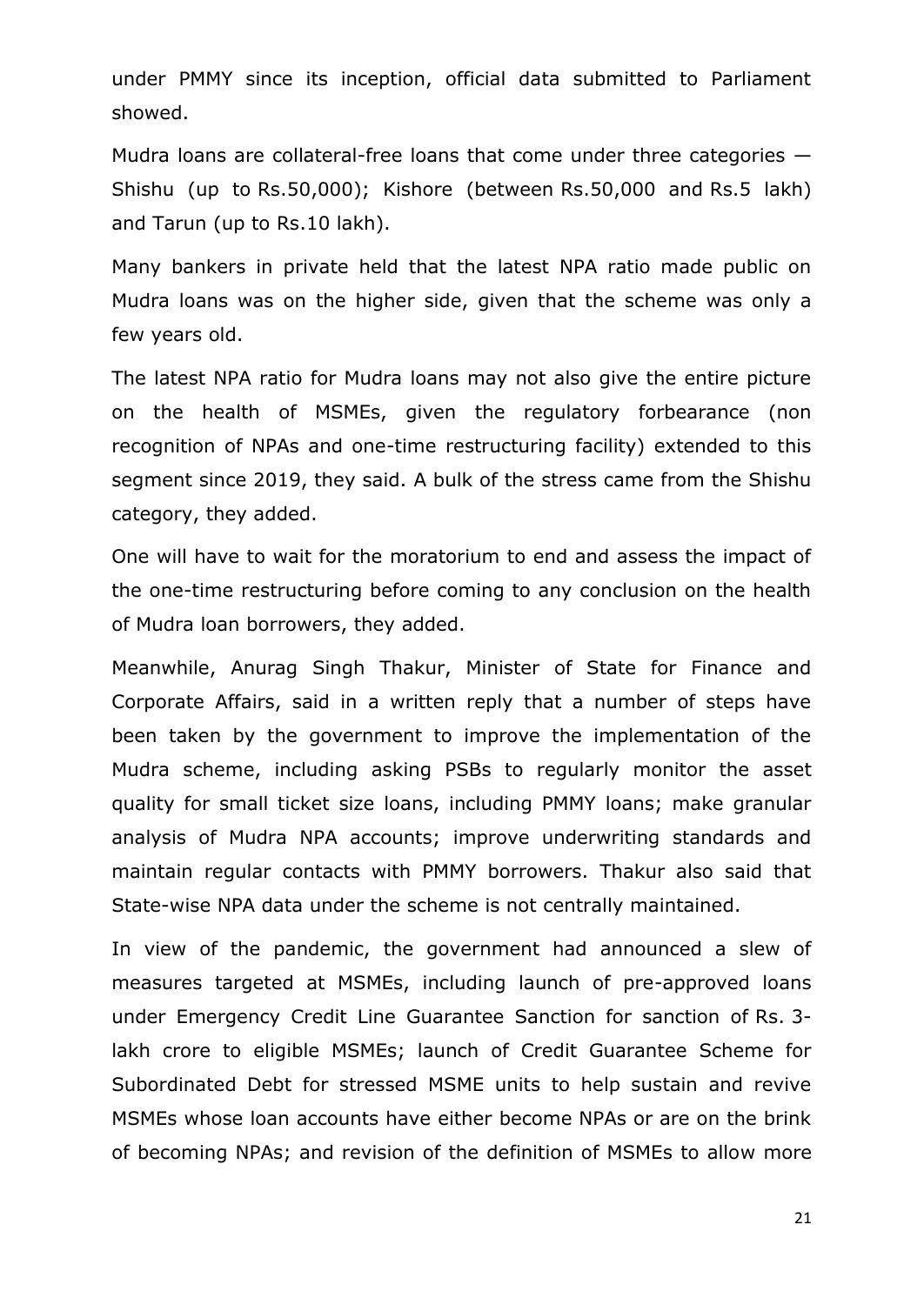under PMMY since its inception, official data submitted to Parliament showed.

Mudra loans are collateral-free loans that come under three categories — Shishu (up to Rs.50,000); Kishore (between Rs.50,000 and Rs.5 lakh) and Tarun (up to Rs.10 lakh).

Many bankers in private held that the latest NPA ratio made public on Mudra loans was on the higher side, given that the scheme was only a few years old.

The latest NPA ratio for Mudra loans may not also give the entire picture on the health of MSMEs, given the regulatory forbearance (non recognition of NPAs and one-time restructuring facility) extended to this segment since 2019, they said. A bulk of the stress came from the Shishu category, they added.

One will have to wait for the moratorium to end and assess the impact of the one-time restructuring before coming to any conclusion on the health of Mudra loan borrowers, they added.

Meanwhile, Anurag Singh Thakur, Minister of State for Finance and Corporate Affairs, said in a written reply that a number of steps have been taken by the government to improve the implementation of the Mudra scheme, including asking PSBs to regularly monitor the asset quality for small ticket size loans, including PMMY loans; make granular analysis of Mudra NPA accounts; improve underwriting standards and maintain regular contacts with PMMY borrowers. Thakur also said that State-wise NPA data under the scheme is not centrally maintained.

In view of the pandemic, the government had announced a slew of measures targeted at MSMEs, including launch of pre-approved loans under Emergency Credit Line Guarantee Sanction for sanction of Rs. 3 lakh crore to eligible MSMEs; launch of Credit Guarantee Scheme for Subordinated Debt for stressed MSME units to help sustain and revive MSMEs whose loan accounts have either become NPAs or are on the brink of becoming NPAs; and revision of the definition of MSMEs to allow more

21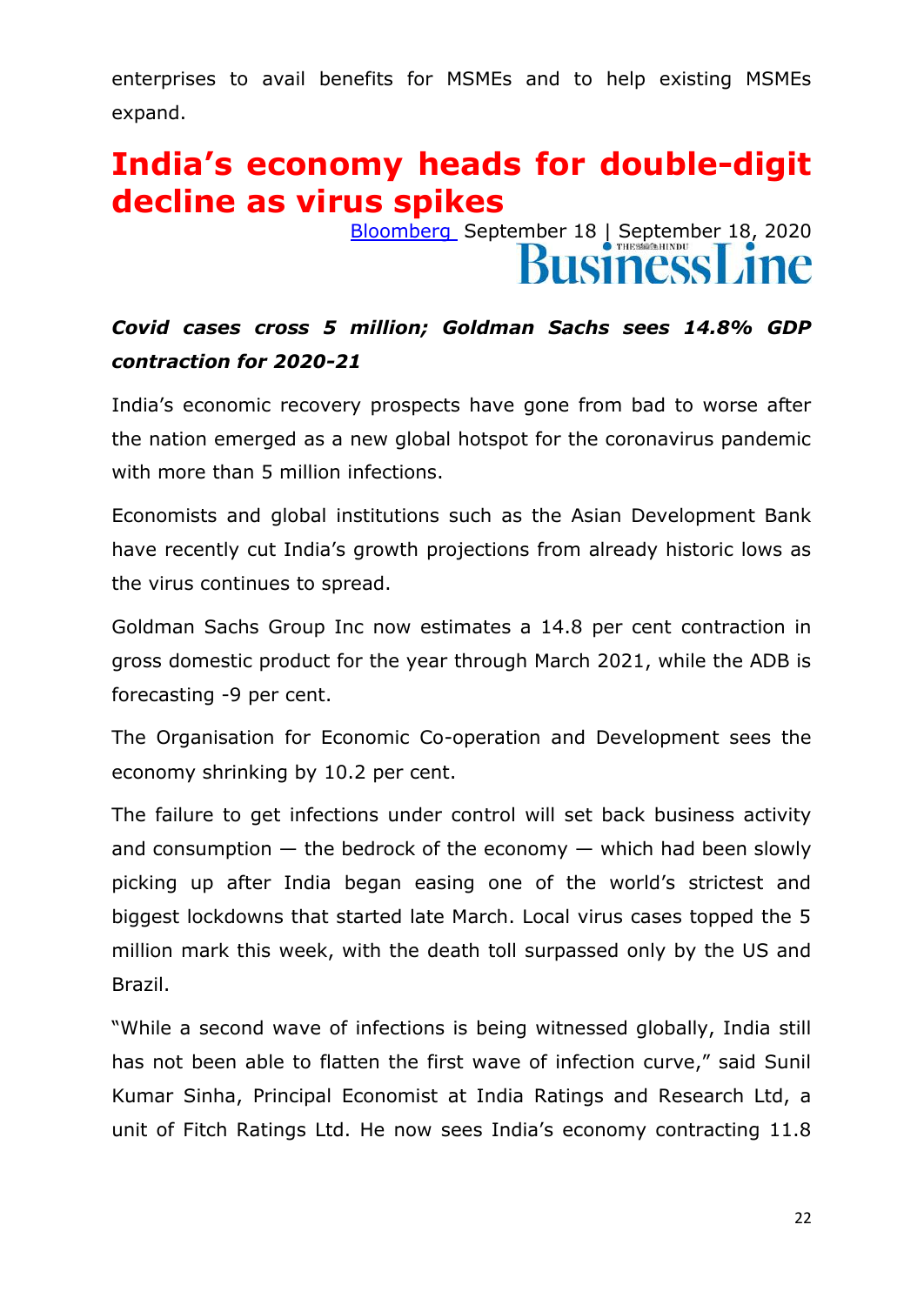enterprises to avail benefits for MSMEs and to help existing MSMEs expand.

### **India's economy heads for double-digit decline as virus spikes**

[Bloomberg](https://www.thehindubusinessline.com/profile/author/Bloomberg-20788/) September 18 | September 18, 2020 **BusinessLine** 

#### *Covid cases cross 5 million; Goldman Sachs sees 14.8% GDP contraction for 2020-21*

India's economic recovery prospects have gone from bad to worse after the nation emerged as a new global hotspot for the coronavirus pandemic with more than 5 million infections.

Economists and global institutions such as the Asian Development Bank have recently cut India's growth projections from already historic lows as the virus continues to spread.

Goldman Sachs Group Inc now estimates a 14.8 per cent contraction in gross domestic product for the year through March 2021, while the ADB is forecasting -9 per cent.

The Organisation for Economic Co-operation and Development sees the economy shrinking by 10.2 per cent.

The failure to get infections under control will set back business activity and consumption  $-$  the bedrock of the economy  $-$  which had been slowly picking up after India began easing one of the world's strictest and biggest lockdowns that started late March. Local virus cases topped the 5 million mark this week, with the death toll surpassed only by the US and Brazil.

"While a second wave of infections is being witnessed globally, India still has not been able to flatten the first wave of infection curve," said Sunil Kumar Sinha, Principal Economist at India Ratings and Research Ltd, a unit of Fitch Ratings Ltd. He now sees India's economy contracting 11.8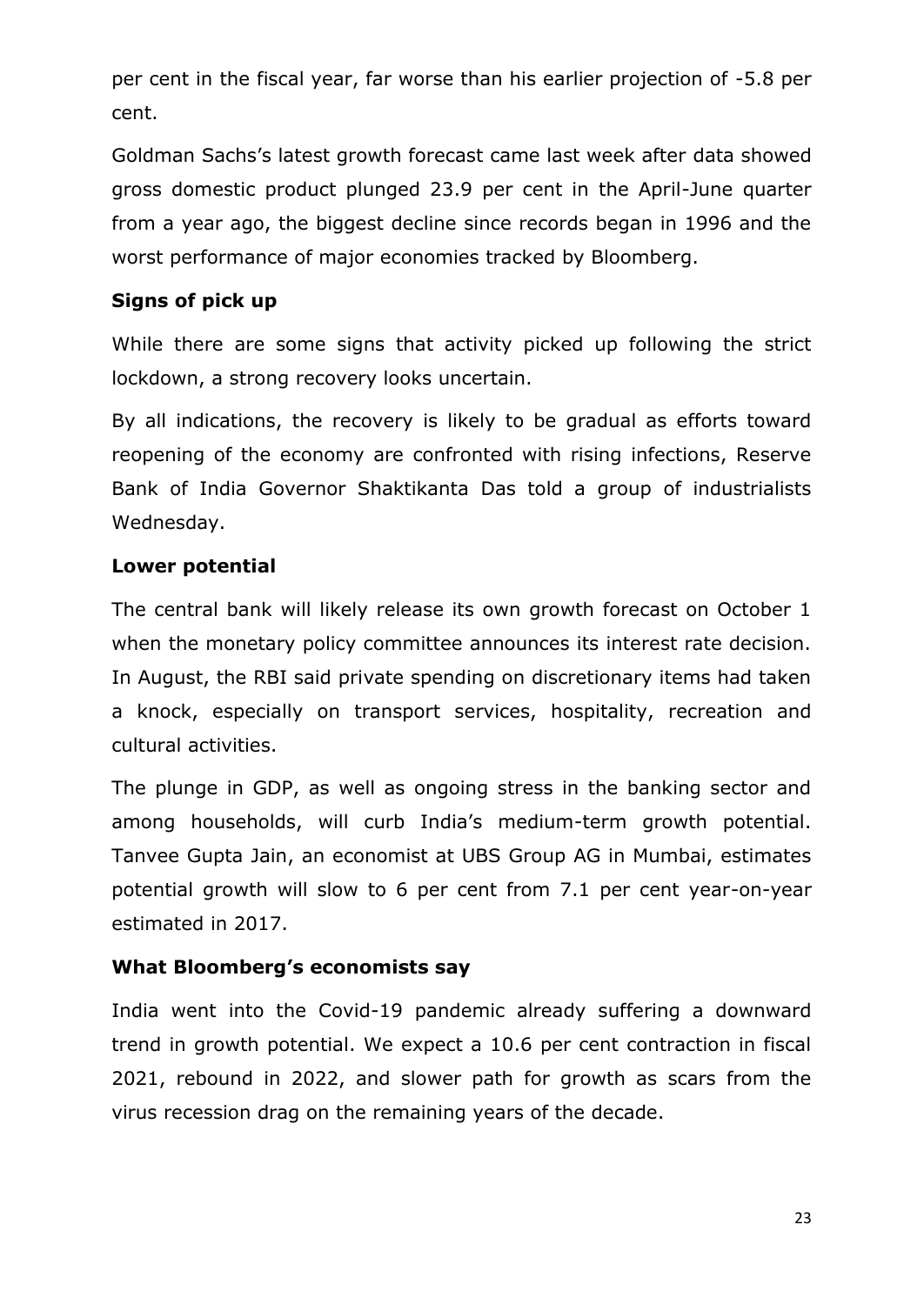per cent in the fiscal year, far worse than his earlier projection of -5.8 per cent.

Goldman Sachs's latest growth forecast came last week after data showed gross domestic product plunged 23.9 per cent in the April-June quarter from a year ago, the biggest decline since records began in 1996 and the worst performance of major economies tracked by Bloomberg.

#### **Signs of pick up**

While there are some signs that activity picked up following the strict lockdown, a strong recovery looks uncertain.

By all indications, the recovery is likely to be gradual as efforts toward reopening of the economy are confronted with rising infections, Reserve Bank of India Governor Shaktikanta Das told a group of industrialists Wednesday.

#### **Lower potential**

The central bank will likely release its own growth forecast on October 1 when the monetary policy committee announces its interest rate decision. In August, the RBI said private spending on discretionary items had taken a knock, especially on transport services, hospitality, recreation and cultural activities.

The plunge in GDP, as well as ongoing stress in the banking sector and among households, will curb India's medium-term growth potential. Tanvee Gupta Jain, an economist at UBS Group AG in Mumbai, estimates potential growth will slow to 6 per cent from 7.1 per cent year-on-year estimated in 2017.

#### **What Bloomberg's economists say**

India went into the Covid-19 pandemic already suffering a downward trend in growth potential. We expect a 10.6 per cent contraction in fiscal 2021, rebound in 2022, and slower path for growth as scars from the virus recession drag on the remaining years of the decade.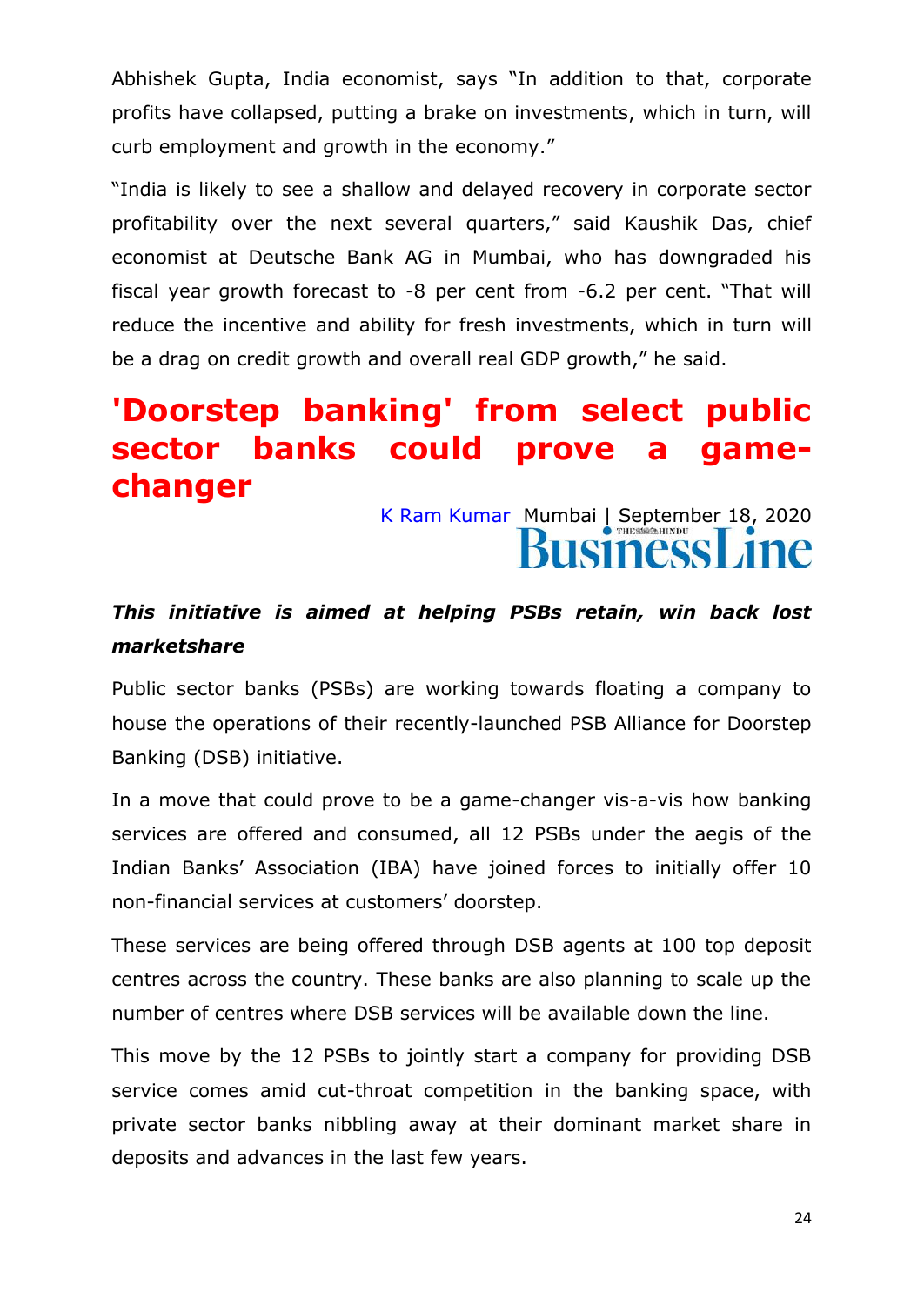Abhishek Gupta, India economist, says "In addition to that, corporate profits have collapsed, putting a brake on investments, which in turn, will curb employment and growth in the economy."

"India is likely to see a shallow and delayed recovery in corporate sector profitability over the next several quarters," said Kaushik Das, chief economist at Deutsche Bank AG in Mumbai, who has downgraded his fiscal year growth forecast to  $-8$  per cent from  $-6.2$  per cent. "That will reduce the incentive and ability for fresh investments, which in turn will be a drag on credit growth and overall real GDP growth," he said.

### **'Doorstep banking' from select public sector banks could prove a gamechanger**

[K Ram Kumar](https://www.thehindubusinessline.com/profile/author/K-Ram-Kumar-16680/) Mumbai | September 18, 2020 **BusinessLine** 

#### *This initiative is aimed at helping PSBs retain, win back lost marketshare*

Public sector banks (PSBs) are working towards floating a company to house the operations of their recently-launched PSB Alliance for Doorstep Banking (DSB) initiative.

In a move that could prove to be a game-changer vis-a-vis how banking services are offered and consumed, all 12 PSBs under the aegis of the Indian Banks' Association (IBA) have joined forces to initially offer 10 non-financial services at customers' doorstep.

These services are being offered through DSB agents at 100 top deposit centres across the country. These banks are also planning to scale up the number of centres where DSB services will be available down the line.

This move by the 12 PSBs to jointly start a company for providing DSB service comes amid cut-throat competition in the banking space, with private sector banks nibbling away at their dominant market share in deposits and advances in the last few years.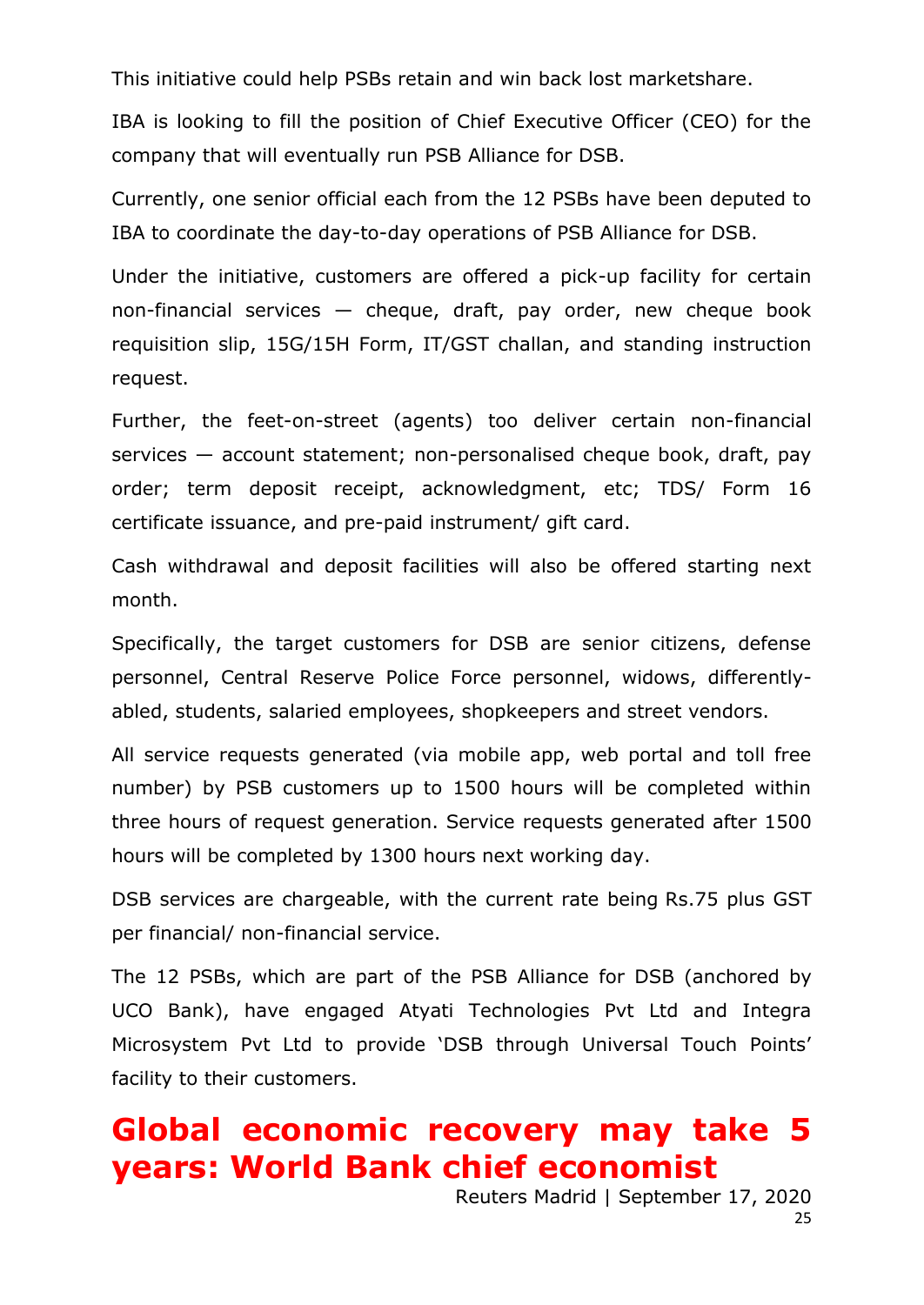This initiative could help PSBs retain and win back lost marketshare.

IBA is looking to fill the position of Chief Executive Officer (CEO) for the company that will eventually run PSB Alliance for DSB.

Currently, one senior official each from the 12 PSBs have been deputed to IBA to coordinate the day-to-day operations of PSB Alliance for DSB.

Under the initiative, customers are offered a pick-up facility for certain non-financial services  $-$  cheque, draft, pay order, new cheque book requisition slip, 15G/15H Form, IT/GST challan, and standing instruction request.

Further, the feet-on-street (agents) too deliver certain non-financial services — account statement; non-personalised cheque book, draft, pay order; term deposit receipt, acknowledgment, etc; TDS/ Form 16 certificate issuance, and pre-paid instrument/ gift card.

Cash withdrawal and deposit facilities will also be offered starting next month.

Specifically, the target customers for DSB are senior citizens, defense personnel, Central Reserve Police Force personnel, widows, differentlyabled, students, salaried employees, shopkeepers and street vendors.

All service requests generated (via mobile app, web portal and toll free number) by PSB customers up to 1500 hours will be completed within three hours of request generation. Service requests generated after 1500 hours will be completed by 1300 hours next working day.

DSB services are chargeable, with the current rate being Rs.75 plus GST per financial/ non-financial service.

The 12 PSBs, which are part of the PSB Alliance for DSB (anchored by UCO Bank), have engaged Atyati Technologies Pvt Ltd and Integra Microsystem Pvt Ltd to provide 'DSB through Universal Touch Points' facility to their customers.

### **Global economic recovery may take 5 years: World Bank chief economist**

Reuters Madrid | September 17, 2020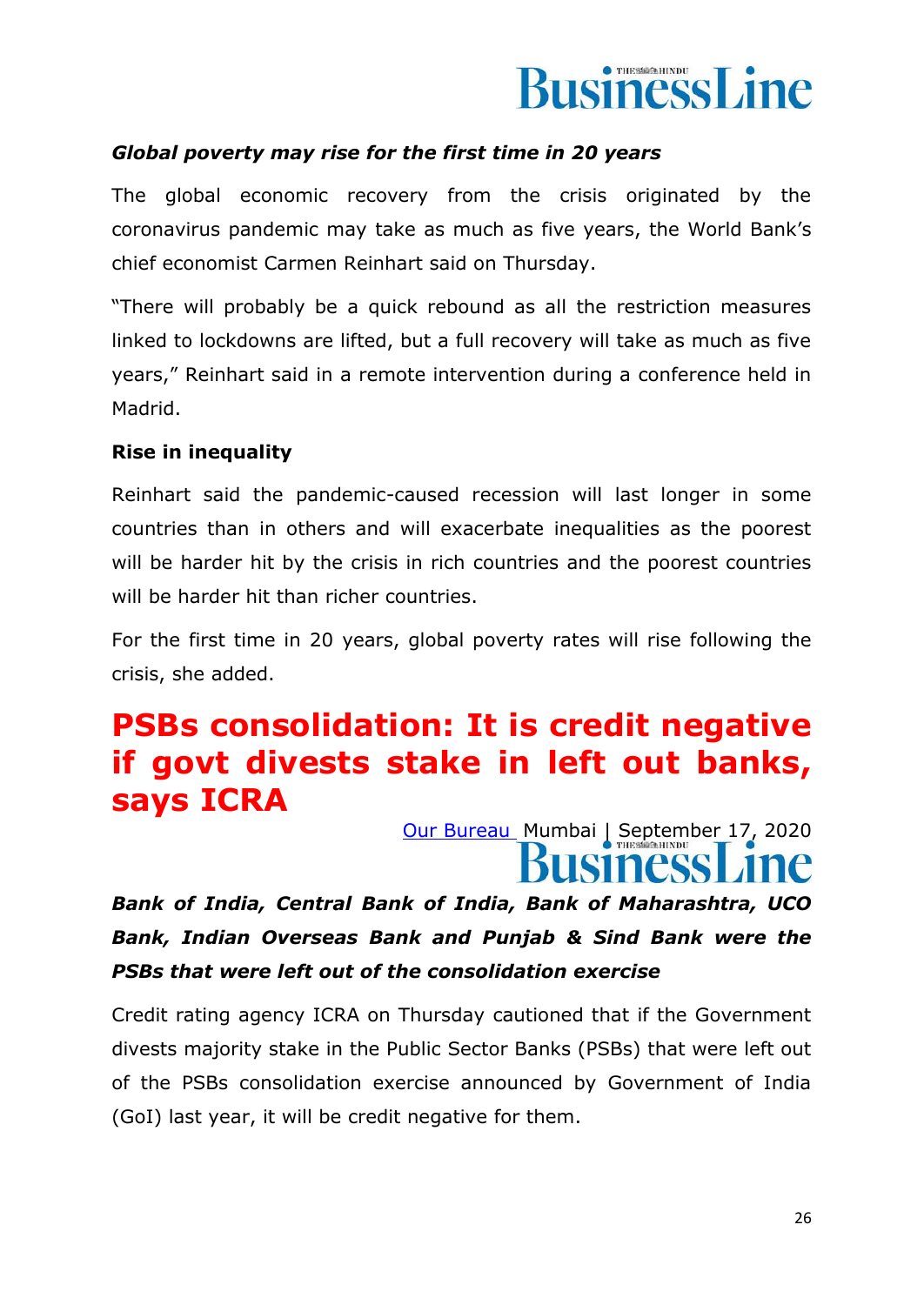

#### *Global poverty may rise for the first time in 20 years*

The global economic recovery from the crisis originated by the coronavirus pandemic may take as much as five years, the World Bank's chief economist Carmen Reinhart said on Thursday.

"There will probably be a quick rebound as all the restriction measures linked to lockdowns are lifted, but a full recovery will take as much as five years," Reinhart said in a remote intervention during a conference held in Madrid.

#### **Rise in inequality**

Reinhart said the pandemic-caused recession will last longer in some countries than in others and will exacerbate inequalities as the poorest will be harder hit by the crisis in rich countries and the poorest countries will be harder hit than richer countries.

For the first time in 20 years, global poverty rates will rise following the crisis, she added.

### **PSBs consolidation: It is credit negative if govt divests stake in left out banks, says ICRA**

[Our Bureau](https://www.thehindubusinessline.com/profile/author/Our-Bureau-15447/) Mumbai | September 17, 2020

*Bank of India, Central Bank of India, Bank of Maharashtra, UCO Bank, Indian Overseas Bank and Punjab & Sind Bank were the PSBs that were left out of the consolidation exercise*

Credit rating agency ICRA on Thursday cautioned that if the Government divests majority stake in the Public Sector Banks (PSBs) that were left out of the PSBs consolidation exercise announced by Government of India (GoI) last year, it will be credit negative for them.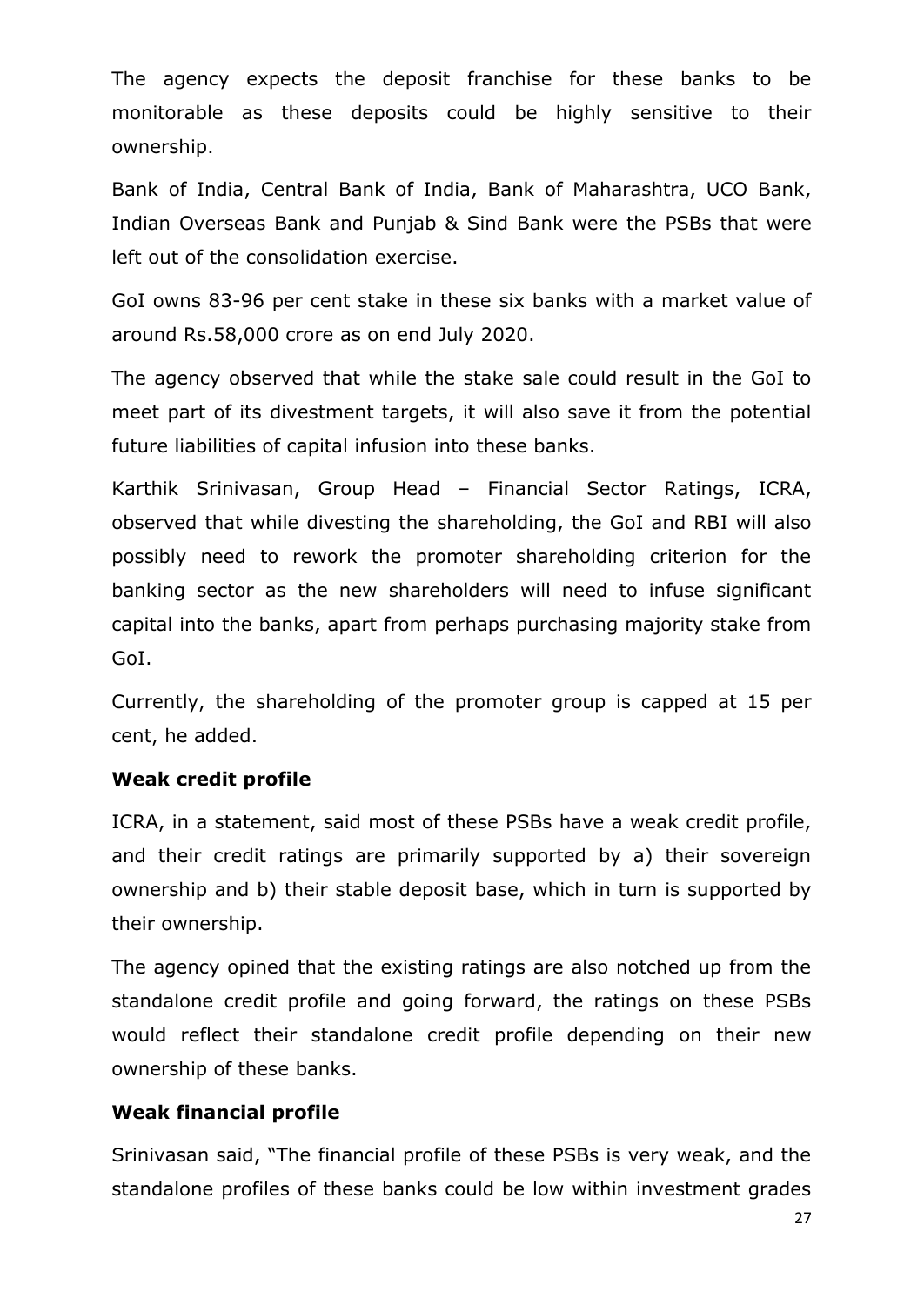The agency expects the deposit franchise for these banks to be monitorable as these deposits could be highly sensitive to their ownership.

Bank of India, Central Bank of India, Bank of Maharashtra, UCO Bank, Indian Overseas Bank and Punjab & Sind Bank were the PSBs that were left out of the consolidation exercise.

GoI owns 83-96 per cent stake in these six banks with a market value of around Rs.58,000 crore as on end July 2020.

The agency observed that while the stake sale could result in the GoI to meet part of its divestment targets, it will also save it from the potential future liabilities of capital infusion into these banks.

Karthik Srinivasan, Group Head – Financial Sector Ratings, ICRA, observed that while divesting the shareholding, the GoI and RBI will also possibly need to rework the promoter shareholding criterion for the banking sector as the new shareholders will need to infuse significant capital into the banks, apart from perhaps purchasing majority stake from GoI.

Currently, the shareholding of the promoter group is capped at 15 per cent, he added.

#### **Weak credit profile**

ICRA, in a statement, said most of these PSBs have a weak credit profile, and their credit ratings are primarily supported by a) their sovereign ownership and b) their stable deposit base, which in turn is supported by their ownership.

The agency opined that the existing ratings are also notched up from the standalone credit profile and going forward, the ratings on these PSBs would reflect their standalone credit profile depending on their new ownership of these banks.

#### **Weak financial profile**

Srinivasan said, "The financial profile of these PSBs is very weak, and the standalone profiles of these banks could be low within investment grades